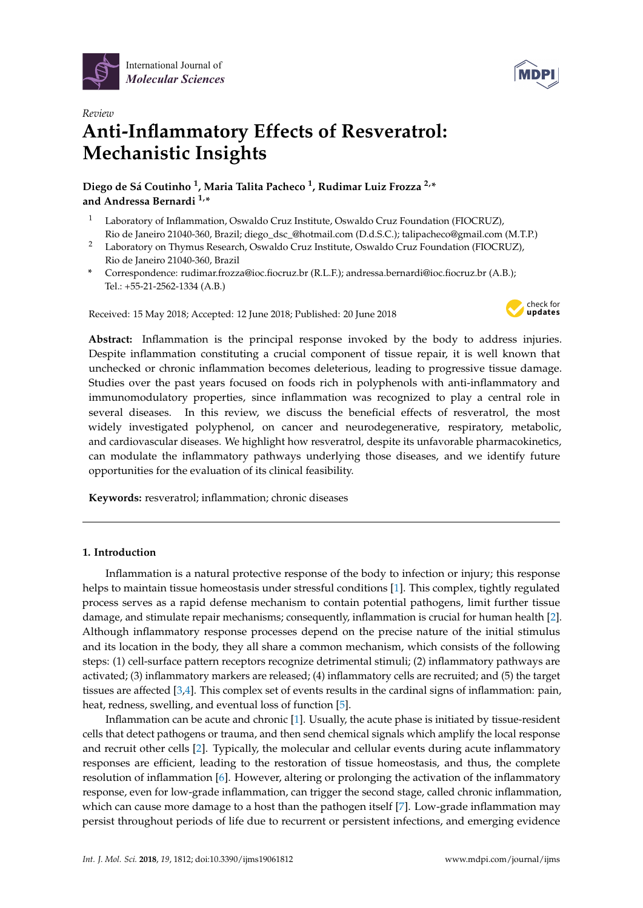



# *Review* **Anti-Inflammatory Effects of Resveratrol: Mechanistic Insights**

**Diego de Sá Coutinho <sup>1</sup> , Maria Talita Pacheco <sup>1</sup> , Rudimar Luiz Frozza 2,\* and Andressa Bernardi 1,\***

- <sup>1</sup> Laboratory of Inflammation, Oswaldo Cruz Institute, Oswaldo Cruz Foundation (FIOCRUZ), Rio de Janeiro 21040-360, Brazil; diego\_dsc\_@hotmail.com (D.d.S.C.); talipacheco@gmail.com (M.T.P.)
- <sup>2</sup> Laboratory on Thymus Research, Oswaldo Cruz Institute, Oswaldo Cruz Foundation (FIOCRUZ), Rio de Janeiro 21040-360, Brazil
- **\*** Correspondence: rudimar.frozza@ioc.fiocruz.br (R.L.F.); andressa.bernardi@ioc.fiocruz.br (A.B.); Tel.: +55-21-2562-1334 (A.B.)

Received: 15 May 2018; Accepted: 12 June 2018; Published: 20 June 2018



**Abstract:** Inflammation is the principal response invoked by the body to address injuries. Despite inflammation constituting a crucial component of tissue repair, it is well known that unchecked or chronic inflammation becomes deleterious, leading to progressive tissue damage. Studies over the past years focused on foods rich in polyphenols with anti-inflammatory and immunomodulatory properties, since inflammation was recognized to play a central role in several diseases. In this review, we discuss the beneficial effects of resveratrol, the most widely investigated polyphenol, on cancer and neurodegenerative, respiratory, metabolic, and cardiovascular diseases. We highlight how resveratrol, despite its unfavorable pharmacokinetics, can modulate the inflammatory pathways underlying those diseases, and we identify future opportunities for the evaluation of its clinical feasibility.

**Keywords:** resveratrol; inflammation; chronic diseases

## **1. Introduction**

Inflammation is a natural protective response of the body to infection or injury; this response helps to maintain tissue homeostasis under stressful conditions [\[1\]](#page-14-0). This complex, tightly regulated process serves as a rapid defense mechanism to contain potential pathogens, limit further tissue damage, and stimulate repair mechanisms; consequently, inflammation is crucial for human health [\[2\]](#page-14-1). Although inflammatory response processes depend on the precise nature of the initial stimulus and its location in the body, they all share a common mechanism, which consists of the following steps: (1) cell-surface pattern receptors recognize detrimental stimuli; (2) inflammatory pathways are activated; (3) inflammatory markers are released; (4) inflammatory cells are recruited; and (5) the target tissues are affected [\[3](#page-14-2)[,4\]](#page-14-3). This complex set of events results in the cardinal signs of inflammation: pain, heat, redness, swelling, and eventual loss of function [\[5\]](#page-14-4).

Inflammation can be acute and chronic [\[1\]](#page-14-0). Usually, the acute phase is initiated by tissue-resident cells that detect pathogens or trauma, and then send chemical signals which amplify the local response and recruit other cells [\[2\]](#page-14-1). Typically, the molecular and cellular events during acute inflammatory responses are efficient, leading to the restoration of tissue homeostasis, and thus, the complete resolution of inflammation [\[6\]](#page-14-5). However, altering or prolonging the activation of the inflammatory response, even for low-grade inflammation, can trigger the second stage, called chronic inflammation, which can cause more damage to a host than the pathogen itself [\[7\]](#page-14-6). Low-grade inflammation may persist throughout periods of life due to recurrent or persistent infections, and emerging evidence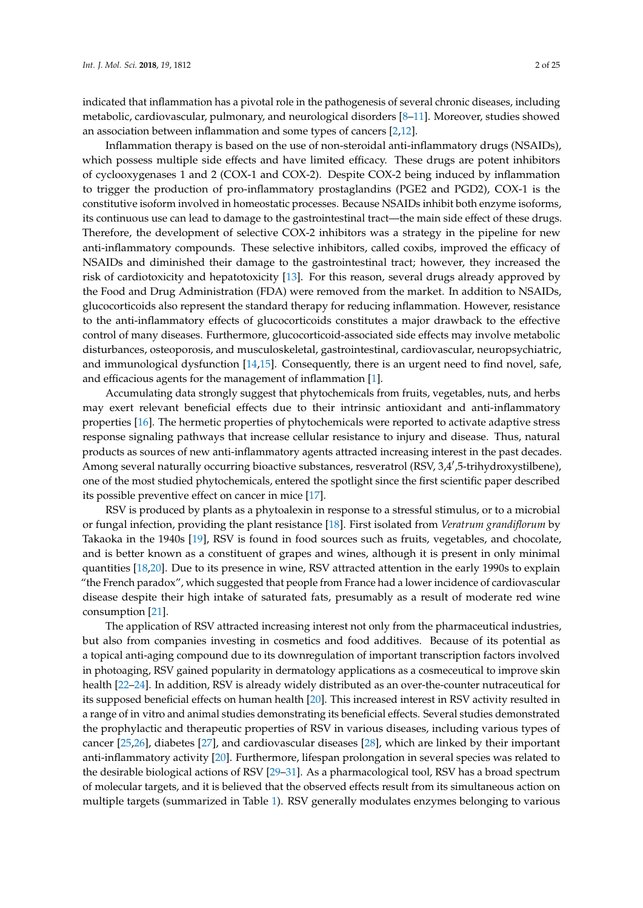indicated that inflammation has a pivotal role in the pathogenesis of several chronic diseases, including metabolic, cardiovascular, pulmonary, and neurological disorders [\[8–](#page-14-7)[11\]](#page-14-8). Moreover, studies showed an association between inflammation and some types of cancers [\[2,](#page-14-1)[12\]](#page-14-9).

Inflammation therapy is based on the use of non-steroidal anti-inflammatory drugs (NSAIDs), which possess multiple side effects and have limited efficacy. These drugs are potent inhibitors of cyclooxygenases 1 and 2 (COX-1 and COX-2). Despite COX-2 being induced by inflammation to trigger the production of pro-inflammatory prostaglandins (PGE2 and PGD2), COX-1 is the constitutive isoform involved in homeostatic processes. Because NSAIDs inhibit both enzyme isoforms, its continuous use can lead to damage to the gastrointestinal tract—the main side effect of these drugs. Therefore, the development of selective COX-2 inhibitors was a strategy in the pipeline for new anti-inflammatory compounds. These selective inhibitors, called coxibs, improved the efficacy of NSAIDs and diminished their damage to the gastrointestinal tract; however, they increased the risk of cardiotoxicity and hepatotoxicity [\[13\]](#page-14-10). For this reason, several drugs already approved by the Food and Drug Administration (FDA) were removed from the market. In addition to NSAIDs, glucocorticoids also represent the standard therapy for reducing inflammation. However, resistance to the anti-inflammatory effects of glucocorticoids constitutes a major drawback to the effective control of many diseases. Furthermore, glucocorticoid-associated side effects may involve metabolic disturbances, osteoporosis, and musculoskeletal, gastrointestinal, cardiovascular, neuropsychiatric, and immunological dysfunction [\[14,](#page-14-11)[15\]](#page-14-12). Consequently, there is an urgent need to find novel, safe, and efficacious agents for the management of inflammation [\[1\]](#page-14-0).

Accumulating data strongly suggest that phytochemicals from fruits, vegetables, nuts, and herbs may exert relevant beneficial effects due to their intrinsic antioxidant and anti-inflammatory properties [\[16\]](#page-14-13). The hermetic properties of phytochemicals were reported to activate adaptive stress response signaling pathways that increase cellular resistance to injury and disease. Thus, natural products as sources of new anti-inflammatory agents attracted increasing interest in the past decades. Among several naturally occurring bioactive substances, resveratrol (RSV, 3,4',5-trihydroxystilbene), one of the most studied phytochemicals, entered the spotlight since the first scientific paper described its possible preventive effect on cancer in mice [\[17\]](#page-14-14).

RSV is produced by plants as a phytoalexin in response to a stressful stimulus, or to a microbial or fungal infection, providing the plant resistance [\[18\]](#page-14-15). First isolated from *Veratrum grandiflorum* by Takaoka in the 1940s [\[19\]](#page-15-0), RSV is found in food sources such as fruits, vegetables, and chocolate, and is better known as a constituent of grapes and wines, although it is present in only minimal quantities [\[18](#page-14-15)[,20\]](#page-15-1). Due to its presence in wine, RSV attracted attention in the early 1990s to explain "the French paradox", which suggested that people from France had a lower incidence of cardiovascular disease despite their high intake of saturated fats, presumably as a result of moderate red wine consumption [\[21\]](#page-15-2).

The application of RSV attracted increasing interest not only from the pharmaceutical industries, but also from companies investing in cosmetics and food additives. Because of its potential as a topical anti-aging compound due to its downregulation of important transcription factors involved in photoaging, RSV gained popularity in dermatology applications as a cosmeceutical to improve skin health [\[22](#page-15-3)[–24\]](#page-15-4). In addition, RSV is already widely distributed as an over-the-counter nutraceutical for its supposed beneficial effects on human health [\[20\]](#page-15-1). This increased interest in RSV activity resulted in a range of in vitro and animal studies demonstrating its beneficial effects. Several studies demonstrated the prophylactic and therapeutic properties of RSV in various diseases, including various types of cancer [\[25,](#page-15-5)[26\]](#page-15-6), diabetes [\[27\]](#page-15-7), and cardiovascular diseases [\[28\]](#page-15-8), which are linked by their important anti-inflammatory activity [\[20\]](#page-15-1). Furthermore, lifespan prolongation in several species was related to the desirable biological actions of RSV [\[29–](#page-15-9)[31\]](#page-15-10). As a pharmacological tool, RSV has a broad spectrum of molecular targets, and it is believed that the observed effects result from its simultaneous action on multiple targets (summarized in Table [1\)](#page-3-0). RSV generally modulates enzymes belonging to various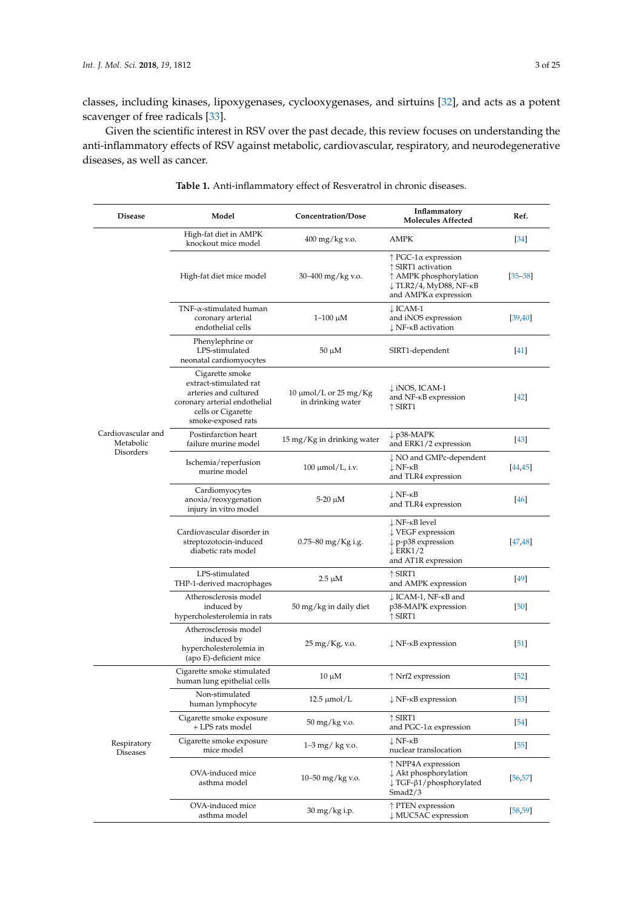classes, including kinases, lipoxygenases, cyclooxygenases, and sirtuins [\[32\]](#page-15-11), and acts as a potent scavenger of free radicals [\[33\]](#page-15-12).

Given the scientific interest in RSV over the past decade, this review focuses on understanding the anti-inflammatory effects of RSV against metabolic, cardiovascular, respiratory, and neurodegenerative diseases, as well as cancer.

| <b>Disease</b>                               | Model                                                                                                                                           | Concentration/Dose                              | Inflammatory<br><b>Molecules Affected</b>                                                                                                       | Ref.              |
|----------------------------------------------|-------------------------------------------------------------------------------------------------------------------------------------------------|-------------------------------------------------|-------------------------------------------------------------------------------------------------------------------------------------------------|-------------------|
| Cardiovascular and<br>Metabolic<br>Disorders | High-fat diet in AMPK<br>knockout mice model                                                                                                    | 400 mg/kg v.o.                                  | <b>AMPK</b>                                                                                                                                     | $[34]$            |
|                                              | High-fat diet mice model                                                                                                                        | 30–400 mg/kg v.o.                               | $\uparrow$ PGC-1 $\alpha$ expression<br>$\uparrow$ SIRT1 activation<br>↑ AMPK phosphorylation<br>↓ TLR2/4, MyD88, NF-ĸB<br>and AMPKα expression | $[35 - 38]$       |
|                                              | $TNF-\alpha$ -stimulated human<br>coronary arterial<br>endothelial cells                                                                        | 1–100 μM                                        | $\downarrow$ ICAM-1<br>and iNOS expression<br>$\downarrow$ NF- $\kappa$ B activation                                                            | [39, 40]          |
|                                              | Phenylephrine or<br>LPS-stimulated<br>neonatal cardiomyocytes                                                                                   | $50 \mu M$                                      | SIRT1-dependent                                                                                                                                 | $[41]$            |
|                                              | Cigarette smoke<br>extract-stimulated rat<br>arteries and cultured<br>coronary arterial endothelial<br>cells or Cigarette<br>smoke-exposed rats | 10 $\mu$ mol/L or 25 mg/Kg<br>in drinking water | $\downarrow$ iNOS, ICAM-1<br>and NF- <sub>KB</sub> expression<br>$\uparrow$ SIRT1                                                               | $[42]$            |
|                                              | Postinfarction heart<br>failure murine model                                                                                                    | 15 mg/Kg in drinking water                      | $\downarrow$ p38-MAPK<br>and ERK1/2 expression                                                                                                  | $[43]$            |
|                                              | Ischemia/reperfusion<br>murine model                                                                                                            | $100 \mu$ mol/L, i.v.                           | $\downarrow$ NO and GMPc-dependent<br>$\downarrow$ NF-kB<br>and TLR4 expression                                                                 | 44,45             |
|                                              | Cardiomyocytes<br>anoxia/reoxygenation<br>injury in vitro model                                                                                 | $5-20 \mu M$                                    | $\downarrow$ NF-kB<br>and TLR4 expression                                                                                                       | $[46]$            |
|                                              | Cardiovascular disorder in<br>streptozotocin-induced<br>diabetic rats model                                                                     | 0.75–80 mg/Kg i.g.                              | $\downarrow$ NF-kB level<br>$\downarrow$ VEGF expression<br>$\downarrow$ p-p38 expression<br>$\downarrow$ ERK1/2<br>and AT1R expression         | 47,48             |
|                                              | LPS-stimulated<br>THP-1-derived macrophages                                                                                                     | 2.5 µM                                          | $\uparrow$ SIRT1<br>and AMPK expression                                                                                                         | $[49]$            |
|                                              | Atherosclerosis model<br>induced by<br>hypercholesterolemia in rats                                                                             | 50 mg/kg in daily diet                          | ↓ ICAM-1, NF-ĸB and<br>p38-MAPK expression<br>$\uparrow$ SIRT1                                                                                  | [50]              |
|                                              | Atherosclerosis model<br>induced by<br>hypercholesterolemia in<br>(apo E)-deficient mice                                                        | 25 mg/Kg, v.o.                                  | $\downarrow$ NF- $\kappa$ B expression                                                                                                          | $\left[51\right]$ |
| Respiratory<br><b>Diseases</b>               | Cigarette smoke stimulated<br>human lung epithelial cells                                                                                       | $10 \mu M$                                      | $\uparrow$ Nrf2 expression                                                                                                                      | $[52]$            |
|                                              | Non-stimulated<br>human lymphocyte                                                                                                              | $12.5 \mu$ mol/L                                | $\downarrow$ NF- $\kappa$ B expression                                                                                                          | [53]              |
|                                              | Cigarette smoke exposure<br>+ LPS rats model                                                                                                    | 50 mg/kg v.o.                                   | $\uparrow$ SIRT1<br>and PGC-1 $\alpha$ expression                                                                                               | [54]              |
|                                              | Cigarette smoke exposure<br>mice model                                                                                                          | 1–3 mg/ kg v.o.                                 | $\downarrow$ NF- $\kappa$ B<br>nuclear translocation                                                                                            | $[55]$            |
|                                              | OVA-induced mice<br>asthma model                                                                                                                | 10–50 mg/kg v.o.                                | $\uparrow$ NPP4A expression<br>$\downarrow$ Akt phosphorylation<br>$\downarrow$ TGF- $\beta$ 1/phosphorylated<br>Smad2/3                        | [56, 57]          |
|                                              | OVA-induced mice<br>asthma model                                                                                                                | 30 mg/kg i.p.                                   | ↑ PTEN expression<br>↓ MUC5AC expression                                                                                                        | [58, 59]          |

**Table 1.** Anti-inflammatory effect of Resveratrol in chronic diseases.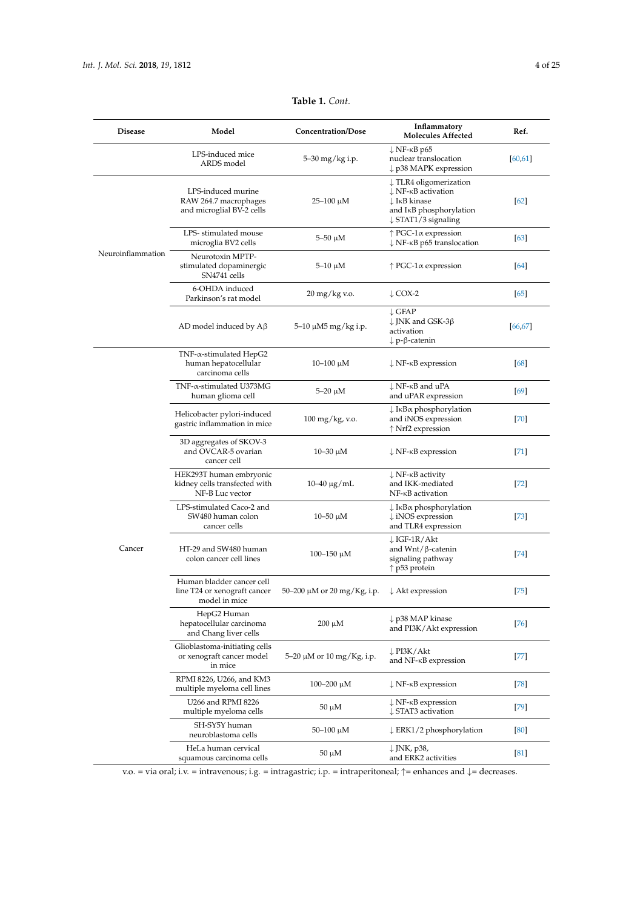<span id="page-3-0"></span>

| <b>Disease</b>    | Model                                                                         | <b>Concentration/Dose</b>   | Inflammatory<br><b>Molecules Affected</b>                                                                                                                                                     | Ref.     |
|-------------------|-------------------------------------------------------------------------------|-----------------------------|-----------------------------------------------------------------------------------------------------------------------------------------------------------------------------------------------|----------|
|                   | LPS-induced mice<br>ARDS model                                                | 5-30 mg/kg i.p.             | $\downarrow$ NF- $\kappa$ B p65<br>nuclear translocation<br>$\downarrow$ p38 MAPK expression                                                                                                  | [60, 61] |
| Neuroinflammation | LPS-induced murine<br>RAW 264.7 macrophages<br>and microglial BV-2 cells      | 25–100 μM                   | $\downarrow$ TLR4 oligomerization<br>$\downarrow$ NF- $\kappa$ B activation<br>$\downarrow$ I <sub>K</sub> B kinase<br>and I <sub>K</sub> B phosphorylation<br>$\downarrow$ STAT1/3 signaling | [62]     |
|                   | LPS-stimulated mouse<br>microglia BV2 cells                                   | $5 - 50 \mu M$              | $\uparrow$ PGC-1 $\alpha$ expression<br>$\downarrow$ NF- $\kappa$ B p65 translocation                                                                                                         | [63]     |
|                   | Neurotoxin MPTP-<br>stimulated dopaminergic<br>SN4741 cells                   | $5-10 \mu M$                | $\uparrow$ PGC-1 $\alpha$ expression                                                                                                                                                          | [64]     |
|                   | 6-OHDA induced<br>Parkinson's rat model                                       | 20 mg/kg v.o.               | $\downarrow$ COX-2                                                                                                                                                                            | [65]     |
|                   | AD model induced by $A\beta$                                                  | 5–10 μM5 mg/kg i.p.         | $\downarrow$ GFAP<br>$\downarrow$ JNK and GSK-3β<br>activation<br>↓p-β-catenin                                                                                                                | 66,67    |
|                   | $TNF$ - $\alpha$ -stimulated HepG2<br>human hepatocellular<br>carcinoma cells | 10–100 μM                   | $\downarrow$ NF- $\kappa$ B expression                                                                                                                                                        | [68]     |
|                   | TNF- $\alpha$ -stimulated U373MG<br>human glioma cell                         | $5-20 \mu M$                | $\downarrow$ NF- $\kappa$ B and uPA<br>and uPAR expression                                                                                                                                    | [69]     |
|                   | Helicobacter pylori-induced<br>gastric inflammation in mice                   | 100 mg/kg, v.o.             | $\downarrow$ I <sub>K</sub> B $\alpha$ phosphorylation<br>and iNOS expression<br>↑ Nrf2 expression                                                                                            | $[70]$   |
|                   | 3D aggregates of SKOV-3<br>and OVCAR-5 ovarian<br>cancer cell                 | 10–30 μM                    | $\downarrow$ NF- $\kappa$ B expression                                                                                                                                                        | $[71]$   |
|                   | HEK293T human embryonic<br>kidney cells transfected with<br>NF-B Luc vector   | $10-40 \mu g/mL$            | $\downarrow$ NF- $\kappa$ B activity<br>and IKK-mediated<br>NF- <sub>K</sub> B activation                                                                                                     | $[72]$   |
| Cancer            | LPS-stimulated Caco-2 and<br>SW480 human colon<br>cancer cells                | 10–50 μM                    | $\downarrow$ I <sub>K</sub> B $\alpha$ phosphorylation<br>$\downarrow$ iNOS expression<br>and TLR4 expression                                                                                 | $[73]$   |
|                   | HT-29 and SW480 human<br>colon cancer cell lines                              | 100–150 μM                  | $\downarrow$ IGF-1R/Akt<br>and $Wnt/\beta$ -catenin<br>signaling pathway<br>$\uparrow$ p53 protein                                                                                            | $[74]$   |
|                   | Human bladder cancer cell<br>line T24 or xenograft cancer<br>model in mice    | 50–200 μM or 20 mg/Kg, i.p. | $\downarrow$ Akt expression                                                                                                                                                                   | $[75]$   |
|                   | HepG2 Human<br>hepatocellular carcinoma<br>and Chang liver cells              | $200 \mu M$                 | $\downarrow$ p38 MAP kinase<br>and PI3K/Akt expression                                                                                                                                        | $[76]$   |
|                   | Glioblastoma-initiating cells<br>or xenograft cancer model<br>in mice         | 5–20 μM or 10 mg/Kg, i.p.   | ↓PI3K/Akt<br>and NF- <sub>KB</sub> expression                                                                                                                                                 | $[77]$   |
|                   | RPMI 8226, U266, and KM3<br>multiple myeloma cell lines                       | 100–200 μM                  | $\downarrow$ NF- $\kappa$ B expression                                                                                                                                                        | $[78]$   |
|                   | U266 and RPMI 8226<br>multiple myeloma cells                                  | 50 µM                       | $\downarrow$ NF- $\kappa$ B expression<br>↓ STAT3 activation                                                                                                                                  | $[79]$   |
|                   | SH-SY5Y human<br>neuroblastoma cells                                          | 50–100 μM                   | $\downarrow$ ERK1/2 phosphorylation                                                                                                                                                           | [80]     |
|                   | HeLa human cervical<br>squamous carcinoma cells                               | 50 µM                       | ↓JNK, p38,<br>and ERK2 activities                                                                                                                                                             | [81]     |

**Table 1.** *Cont.*

v.o. = via oral; i.v. = intravenous; i.g. = intragastric; i.p. = intraperitoneal; ↑= enhances and ↓= decreases.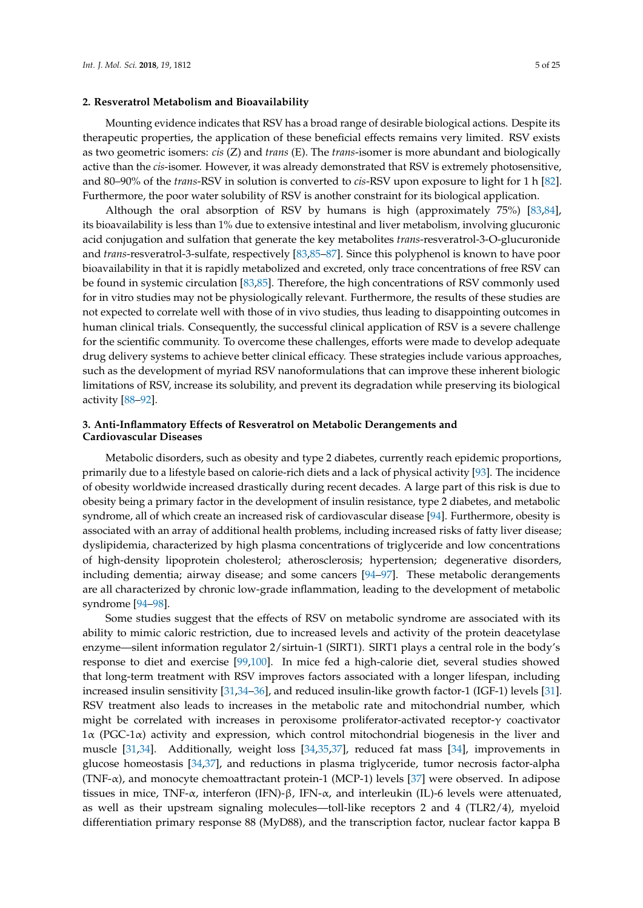#### **2. Resveratrol Metabolism and Bioavailability**

Mounting evidence indicates that RSV has a broad range of desirable biological actions. Despite its therapeutic properties, the application of these beneficial effects remains very limited. RSV exists as two geometric isomers: *cis* (Z) and *trans* (E). The *trans*-isomer is more abundant and biologically active than the *cis*-isomer. However, it was already demonstrated that RSV is extremely photosensitive, and 80–90% of the *trans*-RSV in solution is converted to *cis*-RSV upon exposure to light for 1 h [\[82\]](#page-18-6). Furthermore, the poor water solubility of RSV is another constraint for its biological application.

Although the oral absorption of RSV by humans is high (approximately 75%) [\[83,](#page-18-7)[84\]](#page-18-8), its bioavailability is less than 1% due to extensive intestinal and liver metabolism, involving glucuronic acid conjugation and sulfation that generate the key metabolites *trans*-resveratrol-3-O-glucuronide and *trans*-resveratrol-3-sulfate, respectively [\[83](#page-18-7)[,85–](#page-18-9)[87\]](#page-18-10). Since this polyphenol is known to have poor bioavailability in that it is rapidly metabolized and excreted, only trace concentrations of free RSV can be found in systemic circulation [\[83,](#page-18-7)[85\]](#page-18-9). Therefore, the high concentrations of RSV commonly used for in vitro studies may not be physiologically relevant. Furthermore, the results of these studies are not expected to correlate well with those of in vivo studies, thus leading to disappointing outcomes in human clinical trials. Consequently, the successful clinical application of RSV is a severe challenge for the scientific community. To overcome these challenges, efforts were made to develop adequate drug delivery systems to achieve better clinical efficacy. These strategies include various approaches, such as the development of myriad RSV nanoformulations that can improve these inherent biologic limitations of RSV, increase its solubility, and prevent its degradation while preserving its biological activity [\[88](#page-18-11)[–92\]](#page-18-12).

### **3. Anti-Inflammatory Effects of Resveratrol on Metabolic Derangements and Cardiovascular Diseases**

Metabolic disorders, such as obesity and type 2 diabetes, currently reach epidemic proportions, primarily due to a lifestyle based on calorie-rich diets and a lack of physical activity [\[93\]](#page-18-13). The incidence of obesity worldwide increased drastically during recent decades. A large part of this risk is due to obesity being a primary factor in the development of insulin resistance, type 2 diabetes, and metabolic syndrome, all of which create an increased risk of cardiovascular disease [\[94\]](#page-18-14). Furthermore, obesity is associated with an array of additional health problems, including increased risks of fatty liver disease; dyslipidemia, characterized by high plasma concentrations of triglyceride and low concentrations of high-density lipoprotein cholesterol; atherosclerosis; hypertension; degenerative disorders, including dementia; airway disease; and some cancers [\[94](#page-18-14)[–97\]](#page-19-0). These metabolic derangements are all characterized by chronic low-grade inflammation, leading to the development of metabolic syndrome [\[94–](#page-18-14)[98\]](#page-19-1).

Some studies suggest that the effects of RSV on metabolic syndrome are associated with its ability to mimic caloric restriction, due to increased levels and activity of the protein deacetylase enzyme—silent information regulator 2/sirtuin-1 (SIRT1). SIRT1 plays a central role in the body's response to diet and exercise [\[99,](#page-19-2)[100\]](#page-19-3). In mice fed a high-calorie diet, several studies showed that long-term treatment with RSV improves factors associated with a longer lifespan, including increased insulin sensitivity [\[31,](#page-15-10)[34](#page-15-13)[–36\]](#page-15-17), and reduced insulin-like growth factor-1 (IGF-1) levels [\[31\]](#page-15-10). RSV treatment also leads to increases in the metabolic rate and mitochondrial number, which might be correlated with increases in peroxisome proliferator-activated receptor-γ coactivator 1α (PGC-1α) activity and expression, which control mitochondrial biogenesis in the liver and muscle [\[31,](#page-15-10)[34\]](#page-15-13). Additionally, weight loss [\[34,](#page-15-13)[35](#page-15-14)[,37\]](#page-15-18), reduced fat mass [\[34\]](#page-15-13), improvements in glucose homeostasis [\[34](#page-15-13)[,37\]](#page-15-18), and reductions in plasma triglyceride, tumor necrosis factor-alpha (TNF- $\alpha$ ), and monocyte chemoattractant protein-1 (MCP-1) levels [\[37\]](#page-15-18) were observed. In adipose tissues in mice, TNF-α, interferon (IFN)-β, IFN-α, and interleukin (IL)-6 levels were attenuated, as well as their upstream signaling molecules—toll-like receptors 2 and 4 (TLR2/4), myeloid differentiation primary response 88 (MyD88), and the transcription factor, nuclear factor kappa B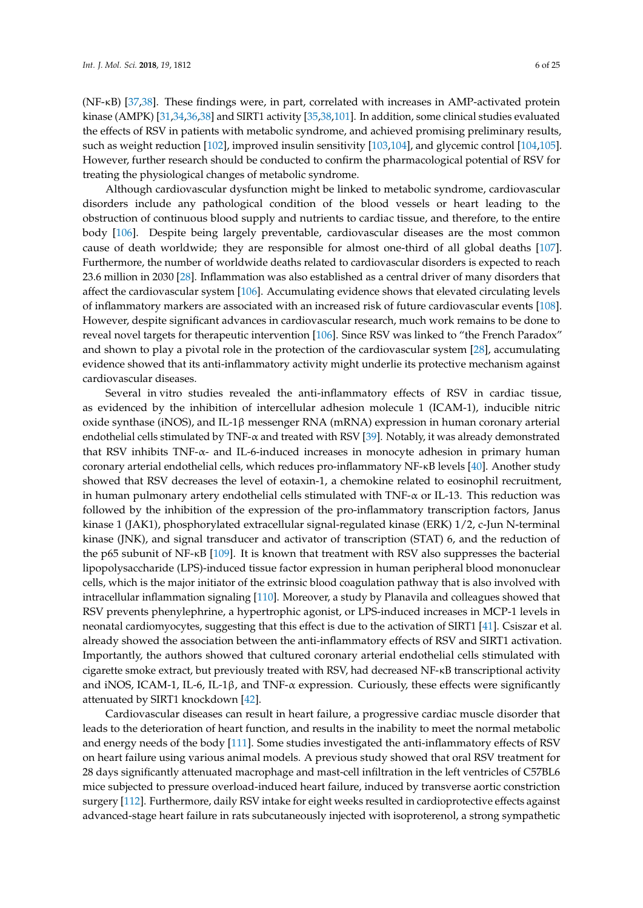(NF-κB) [\[37](#page-15-18)[,38\]](#page-15-15). These findings were, in part, correlated with increases in AMP-activated protein kinase (AMPK) [\[31](#page-15-10)[,34](#page-15-13)[,36](#page-15-17)[,38\]](#page-15-15) and SIRT1 activity [\[35,](#page-15-14)[38](#page-15-15)[,101\]](#page-19-4). In addition, some clinical studies evaluated the effects of RSV in patients with metabolic syndrome, and achieved promising preliminary results, such as weight reduction [\[102\]](#page-19-5), improved insulin sensitivity [\[103](#page-19-6)[,104\]](#page-19-7), and glycemic control [\[104](#page-19-7)[,105\]](#page-19-8). However, further research should be conducted to confirm the pharmacological potential of RSV for treating the physiological changes of metabolic syndrome.

Although cardiovascular dysfunction might be linked to metabolic syndrome, cardiovascular disorders include any pathological condition of the blood vessels or heart leading to the obstruction of continuous blood supply and nutrients to cardiac tissue, and therefore, to the entire body [\[106\]](#page-19-9). Despite being largely preventable, cardiovascular diseases are the most common cause of death worldwide; they are responsible for almost one-third of all global deaths [\[107\]](#page-19-10). Furthermore, the number of worldwide deaths related to cardiovascular disorders is expected to reach 23.6 million in 2030 [\[28\]](#page-15-8). Inflammation was also established as a central driver of many disorders that affect the cardiovascular system [\[106\]](#page-19-9). Accumulating evidence shows that elevated circulating levels of inflammatory markers are associated with an increased risk of future cardiovascular events [\[108\]](#page-19-11). However, despite significant advances in cardiovascular research, much work remains to be done to reveal novel targets for therapeutic intervention [\[106\]](#page-19-9). Since RSV was linked to "the French Paradox" and shown to play a pivotal role in the protection of the cardiovascular system [\[28\]](#page-15-8), accumulating evidence showed that its anti-inflammatory activity might underlie its protective mechanism against cardiovascular diseases.

Several in vitro studies revealed the anti-inflammatory effects of RSV in cardiac tissue, as evidenced by the inhibition of intercellular adhesion molecule 1 (ICAM-1), inducible nitric oxide synthase (iNOS), and IL-1 $\beta$  messenger RNA (mRNA) expression in human coronary arterial endothelial cells stimulated by TNF-α and treated with RSV [\[39\]](#page-15-16). Notably, it was already demonstrated that RSV inhibits TNF-α- and IL-6-induced increases in monocyte adhesion in primary human coronary arterial endothelial cells, which reduces pro-inflammatory NF-κB levels [\[40\]](#page-16-0). Another study showed that RSV decreases the level of eotaxin-1, a chemokine related to eosinophil recruitment, in human pulmonary artery endothelial cells stimulated with  $TNF-\alpha$  or IL-13. This reduction was followed by the inhibition of the expression of the pro-inflammatory transcription factors, Janus kinase 1 (JAK1), phosphorylated extracellular signal-regulated kinase (ERK) 1/2, c-Jun N-terminal kinase (JNK), and signal transducer and activator of transcription (STAT) 6, and the reduction of the p65 subunit of NF-κB [\[109\]](#page-19-12). It is known that treatment with RSV also suppresses the bacterial lipopolysaccharide (LPS)-induced tissue factor expression in human peripheral blood mononuclear cells, which is the major initiator of the extrinsic blood coagulation pathway that is also involved with intracellular inflammation signaling [\[110\]](#page-19-13). Moreover, a study by Planavila and colleagues showed that RSV prevents phenylephrine, a hypertrophic agonist, or LPS-induced increases in MCP-1 levels in neonatal cardiomyocytes, suggesting that this effect is due to the activation of SIRT1 [\[41\]](#page-16-1). Csiszar et al. already showed the association between the anti-inflammatory effects of RSV and SIRT1 activation. Importantly, the authors showed that cultured coronary arterial endothelial cells stimulated with cigarette smoke extract, but previously treated with RSV, had decreased NF-κB transcriptional activity and iNOS, ICAM-1, IL-6, IL-1 $\beta$ , and TNF- $\alpha$  expression. Curiously, these effects were significantly attenuated by SIRT1 knockdown [\[42\]](#page-16-2).

Cardiovascular diseases can result in heart failure, a progressive cardiac muscle disorder that leads to the deterioration of heart function, and results in the inability to meet the normal metabolic and energy needs of the body [\[111\]](#page-19-14). Some studies investigated the anti-inflammatory effects of RSV on heart failure using various animal models. A previous study showed that oral RSV treatment for 28 days significantly attenuated macrophage and mast-cell infiltration in the left ventricles of C57BL6 mice subjected to pressure overload-induced heart failure, induced by transverse aortic constriction surgery [\[112\]](#page-19-15). Furthermore, daily RSV intake for eight weeks resulted in cardioprotective effects against advanced-stage heart failure in rats subcutaneously injected with isoproterenol, a strong sympathetic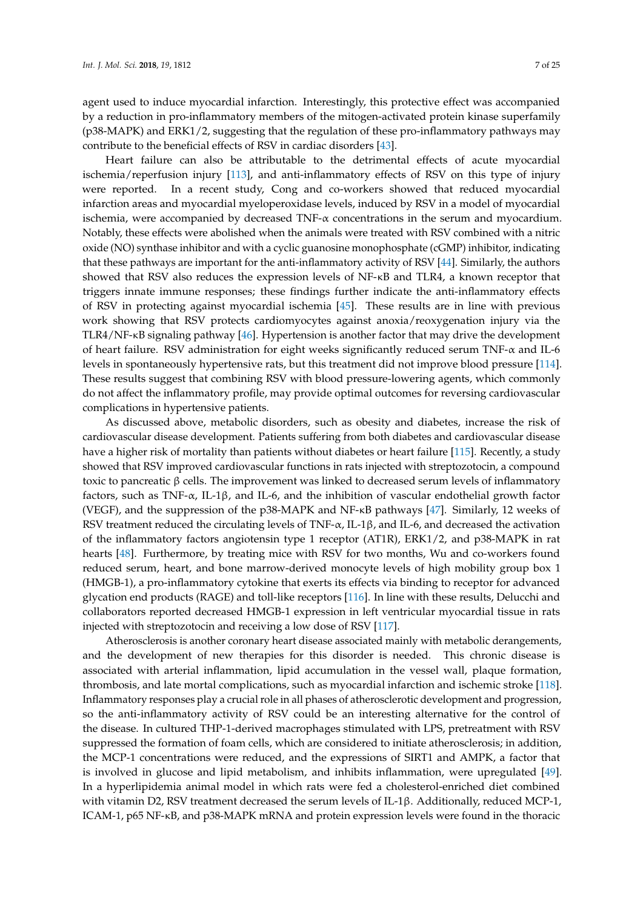agent used to induce myocardial infarction. Interestingly, this protective effect was accompanied by a reduction in pro-inflammatory members of the mitogen-activated protein kinase superfamily (p38-MAPK) and ERK1/2, suggesting that the regulation of these pro-inflammatory pathways may contribute to the beneficial effects of RSV in cardiac disorders [\[43\]](#page-16-3).

Heart failure can also be attributable to the detrimental effects of acute myocardial ischemia/reperfusion injury [\[113\]](#page-19-16), and anti-inflammatory effects of RSV on this type of injury were reported. In a recent study, Cong and co-workers showed that reduced myocardial infarction areas and myocardial myeloperoxidase levels, induced by RSV in a model of myocardial ischemia, were accompanied by decreased  $TNF-\alpha$  concentrations in the serum and myocardium. Notably, these effects were abolished when the animals were treated with RSV combined with a nitric oxide (NO) synthase inhibitor and with a cyclic guanosine monophosphate (cGMP) inhibitor, indicating that these pathways are important for the anti-inflammatory activity of RSV [\[44\]](#page-16-4). Similarly, the authors showed that RSV also reduces the expression levels of NF-κB and TLR4, a known receptor that triggers innate immune responses; these findings further indicate the anti-inflammatory effects of RSV in protecting against myocardial ischemia [\[45\]](#page-16-5). These results are in line with previous work showing that RSV protects cardiomyocytes against anoxia/reoxygenation injury via the TLR4/NF-κB signaling pathway [\[46\]](#page-16-6). Hypertension is another factor that may drive the development of heart failure. RSV administration for eight weeks significantly reduced serum TNF-α and IL-6 levels in spontaneously hypertensive rats, but this treatment did not improve blood pressure [\[114\]](#page-19-17). These results suggest that combining RSV with blood pressure-lowering agents, which commonly do not affect the inflammatory profile, may provide optimal outcomes for reversing cardiovascular complications in hypertensive patients.

As discussed above, metabolic disorders, such as obesity and diabetes, increase the risk of cardiovascular disease development. Patients suffering from both diabetes and cardiovascular disease have a higher risk of mortality than patients without diabetes or heart failure [\[115\]](#page-19-18). Recently, a study showed that RSV improved cardiovascular functions in rats injected with streptozotocin, a compound toxic to pancreatic β cells. The improvement was linked to decreased serum levels of inflammatory factors, such as TNF-α, IL-1β, and IL-6, and the inhibition of vascular endothelial growth factor (VEGF), and the suppression of the p38-MAPK and NF-κB pathways [\[47\]](#page-16-7). Similarly, 12 weeks of RSV treatment reduced the circulating levels of TNF- $\alpha$ , IL-1 $\beta$ , and IL-6, and decreased the activation of the inflammatory factors angiotensin type 1 receptor (AT1R), ERK1/2, and p38-MAPK in rat hearts [\[48\]](#page-16-8). Furthermore, by treating mice with RSV for two months, Wu and co-workers found reduced serum, heart, and bone marrow-derived monocyte levels of high mobility group box 1 (HMGB-1), a pro-inflammatory cytokine that exerts its effects via binding to receptor for advanced glycation end products (RAGE) and toll-like receptors [\[116\]](#page-19-19). In line with these results, Delucchi and collaborators reported decreased HMGB-1 expression in left ventricular myocardial tissue in rats injected with streptozotocin and receiving a low dose of RSV [\[117\]](#page-20-0).

Atherosclerosis is another coronary heart disease associated mainly with metabolic derangements, and the development of new therapies for this disorder is needed. This chronic disease is associated with arterial inflammation, lipid accumulation in the vessel wall, plaque formation, thrombosis, and late mortal complications, such as myocardial infarction and ischemic stroke [\[118\]](#page-20-1). Inflammatory responses play a crucial role in all phases of atherosclerotic development and progression, so the anti-inflammatory activity of RSV could be an interesting alternative for the control of the disease. In cultured THP-1-derived macrophages stimulated with LPS, pretreatment with RSV suppressed the formation of foam cells, which are considered to initiate atherosclerosis; in addition, the MCP-1 concentrations were reduced, and the expressions of SIRT1 and AMPK, a factor that is involved in glucose and lipid metabolism, and inhibits inflammation, were upregulated [\[49\]](#page-16-9). In a hyperlipidemia animal model in which rats were fed a cholesterol-enriched diet combined with vitamin D2, RSV treatment decreased the serum levels of IL-1β. Additionally, reduced MCP-1, ICAM-1, p65 NF-κB, and p38-MAPK mRNA and protein expression levels were found in the thoracic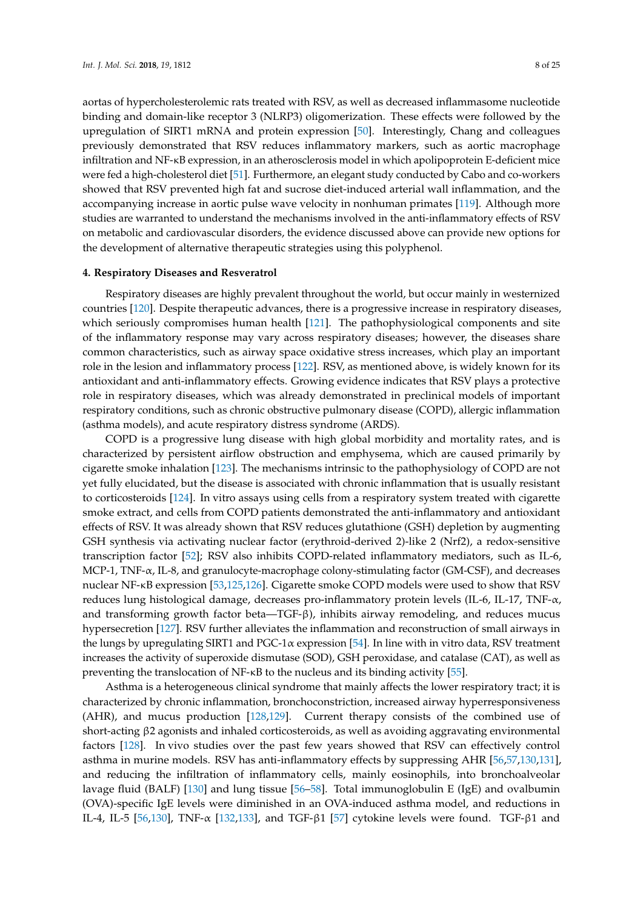aortas of hypercholesterolemic rats treated with RSV, as well as decreased inflammasome nucleotide binding and domain-like receptor 3 (NLRP3) oligomerization. These effects were followed by the upregulation of SIRT1 mRNA and protein expression [\[50\]](#page-16-10). Interestingly, Chang and colleagues previously demonstrated that RSV reduces inflammatory markers, such as aortic macrophage infiltration and NF-κB expression, in an atherosclerosis model in which apolipoprotein E-deficient mice were fed a high-cholesterol diet [\[51\]](#page-16-11). Furthermore, an elegant study conducted by Cabo and co-workers showed that RSV prevented high fat and sucrose diet-induced arterial wall inflammation, and the accompanying increase in aortic pulse wave velocity in nonhuman primates [\[119\]](#page-20-2). Although more studies are warranted to understand the mechanisms involved in the anti-inflammatory effects of RSV on metabolic and cardiovascular disorders, the evidence discussed above can provide new options for the development of alternative therapeutic strategies using this polyphenol.

#### **4. Respiratory Diseases and Resveratrol**

Respiratory diseases are highly prevalent throughout the world, but occur mainly in westernized countries [\[120\]](#page-20-3). Despite therapeutic advances, there is a progressive increase in respiratory diseases, which seriously compromises human health [\[121\]](#page-20-4). The pathophysiological components and site of the inflammatory response may vary across respiratory diseases; however, the diseases share common characteristics, such as airway space oxidative stress increases, which play an important role in the lesion and inflammatory process [\[122\]](#page-20-5). RSV, as mentioned above, is widely known for its antioxidant and anti-inflammatory effects. Growing evidence indicates that RSV plays a protective role in respiratory diseases, which was already demonstrated in preclinical models of important respiratory conditions, such as chronic obstructive pulmonary disease (COPD), allergic inflammation (asthma models), and acute respiratory distress syndrome (ARDS).

COPD is a progressive lung disease with high global morbidity and mortality rates, and is characterized by persistent airflow obstruction and emphysema, which are caused primarily by cigarette smoke inhalation [\[123\]](#page-20-6). The mechanisms intrinsic to the pathophysiology of COPD are not yet fully elucidated, but the disease is associated with chronic inflammation that is usually resistant to corticosteroids [\[124\]](#page-20-7). In vitro assays using cells from a respiratory system treated with cigarette smoke extract, and cells from COPD patients demonstrated the anti-inflammatory and antioxidant effects of RSV. It was already shown that RSV reduces glutathione (GSH) depletion by augmenting GSH synthesis via activating nuclear factor (erythroid-derived 2)-like 2 (Nrf2), a redox-sensitive transcription factor [\[52\]](#page-16-12); RSV also inhibits COPD-related inflammatory mediators, such as IL-6, MCP-1, TNF-α, IL-8, and granulocyte-macrophage colony-stimulating factor (GM-CSF), and decreases nuclear NF-κB expression [\[53,](#page-16-13)[125,](#page-20-8)[126\]](#page-20-9). Cigarette smoke COPD models were used to show that RSV reduces lung histological damage, decreases pro-inflammatory protein levels (IL-6, IL-17, TNF-α, and transforming growth factor beta—TGF-β), inhibits airway remodeling, and reduces mucus hypersecretion [\[127\]](#page-20-10). RSV further alleviates the inflammation and reconstruction of small airways in the lungs by upregulating SIRT1 and PGC-1 $\alpha$  expression [\[54\]](#page-16-14). In line with in vitro data, RSV treatment increases the activity of superoxide dismutase (SOD), GSH peroxidase, and catalase (CAT), as well as preventing the translocation of NF-κB to the nucleus and its binding activity [\[55\]](#page-16-15).

Asthma is a heterogeneous clinical syndrome that mainly affects the lower respiratory tract; it is characterized by chronic inflammation, bronchoconstriction, increased airway hyperresponsiveness (AHR), and mucus production [\[128,](#page-20-11)[129\]](#page-20-12). Current therapy consists of the combined use of short-acting β2 agonists and inhaled corticosteroids, as well as avoiding aggravating environmental factors [\[128\]](#page-20-11). In vivo studies over the past few years showed that RSV can effectively control asthma in murine models. RSV has anti-inflammatory effects by suppressing AHR [\[56,](#page-16-16)[57,](#page-16-17)[130,](#page-20-13)[131\]](#page-20-14), and reducing the infiltration of inflammatory cells, mainly eosinophils, into bronchoalveolar lavage fluid (BALF) [\[130\]](#page-20-13) and lung tissue [\[56–](#page-16-16)[58\]](#page-17-0). Total immunoglobulin E (IgE) and ovalbumin (OVA)-specific IgE levels were diminished in an OVA-induced asthma model, and reductions in IL-4, IL-5 [\[56,](#page-16-16)[130\]](#page-20-13), TNF- $\alpha$  [\[132](#page-20-15)[,133\]](#page-20-16), and TGF- $\beta$ 1 [\[57\]](#page-16-17) cytokine levels were found. TGF- $\beta$ 1 and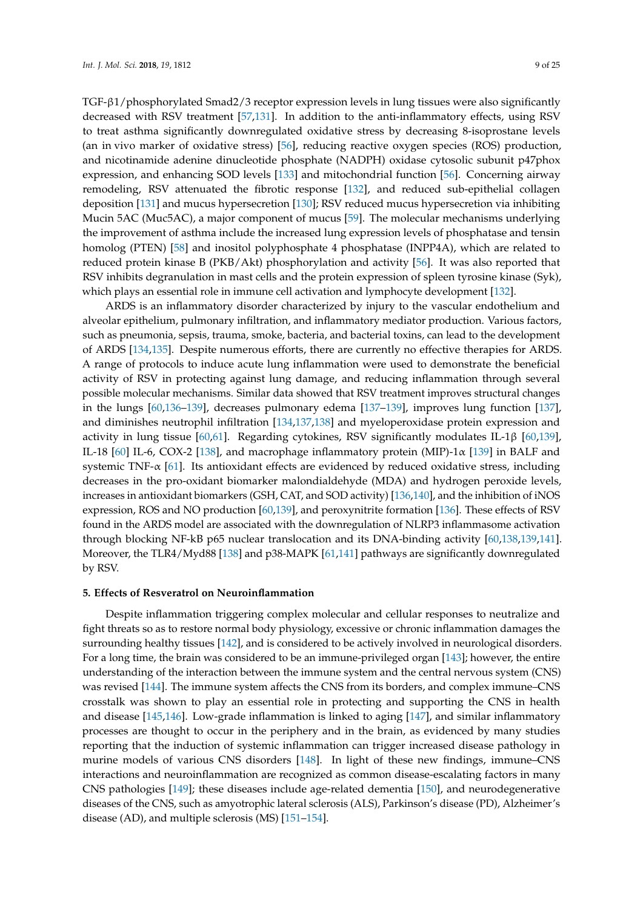TGF-β1/phosphorylated Smad2/3 receptor expression levels in lung tissues were also significantly decreased with RSV treatment [\[57](#page-16-17)[,131\]](#page-20-14). In addition to the anti-inflammatory effects, using RSV to treat asthma significantly downregulated oxidative stress by decreasing 8-isoprostane levels (an in vivo marker of oxidative stress) [\[56\]](#page-16-16), reducing reactive oxygen species (ROS) production, and nicotinamide adenine dinucleotide phosphate (NADPH) oxidase cytosolic subunit p47phox expression, and enhancing SOD levels [\[133\]](#page-20-16) and mitochondrial function [\[56\]](#page-16-16). Concerning airway remodeling, RSV attenuated the fibrotic response [\[132\]](#page-20-15), and reduced sub-epithelial collagen deposition [\[131\]](#page-20-14) and mucus hypersecretion [\[130\]](#page-20-13); RSV reduced mucus hypersecretion via inhibiting Mucin 5AC (Muc5AC), a major component of mucus [\[59\]](#page-17-1). The molecular mechanisms underlying the improvement of asthma include the increased lung expression levels of phosphatase and tensin homolog (PTEN) [\[58\]](#page-17-0) and inositol polyphosphate 4 phosphatase (INPP4A), which are related to reduced protein kinase B (PKB/Akt) phosphorylation and activity [\[56\]](#page-16-16). It was also reported that RSV inhibits degranulation in mast cells and the protein expression of spleen tyrosine kinase (Syk), which plays an essential role in immune cell activation and lymphocyte development [\[132\]](#page-20-15).

ARDS is an inflammatory disorder characterized by injury to the vascular endothelium and alveolar epithelium, pulmonary infiltration, and inflammatory mediator production. Various factors, such as pneumonia, sepsis, trauma, smoke, bacteria, and bacterial toxins, can lead to the development of ARDS [\[134](#page-20-17)[,135\]](#page-20-18). Despite numerous efforts, there are currently no effective therapies for ARDS. A range of protocols to induce acute lung inflammation were used to demonstrate the beneficial activity of RSV in protecting against lung damage, and reducing inflammation through several possible molecular mechanisms. Similar data showed that RSV treatment improves structural changes in the lungs [\[60,](#page-17-2)[136–](#page-21-0)[139\]](#page-21-1), decreases pulmonary edema [\[137](#page-21-2)[–139\]](#page-21-1), improves lung function [\[137\]](#page-21-2), and diminishes neutrophil infiltration [\[134,](#page-20-17)[137,](#page-21-2)[138\]](#page-21-3) and myeloperoxidase protein expression and activity in lung tissue [\[60](#page-17-2)[,61\]](#page-17-3). Regarding cytokines, RSV significantly modulates IL-1β [\[60,](#page-17-2)[139\]](#page-21-1), IL-18 [\[60\]](#page-17-2) IL-6, COX-2 [\[138\]](#page-21-3), and macrophage inflammatory protein (MIP)-1 $\alpha$  [\[139\]](#page-21-1) in BALF and systemic TNF- $\alpha$  [\[61\]](#page-17-3). Its antioxidant effects are evidenced by reduced oxidative stress, including decreases in the pro-oxidant biomarker malondialdehyde (MDA) and hydrogen peroxide levels, increases in antioxidant biomarkers (GSH, CAT, and SOD activity) [\[136,](#page-21-0)[140\]](#page-21-4), and the inhibition of iNOS expression, ROS and NO production [\[60](#page-17-2)[,139\]](#page-21-1), and peroxynitrite formation [\[136\]](#page-21-0). These effects of RSV found in the ARDS model are associated with the downregulation of NLRP3 inflammasome activation through blocking NF-kB p65 nuclear translocation and its DNA-binding activity [\[60,](#page-17-2)[138,](#page-21-3)[139,](#page-21-1)[141\]](#page-21-5). Moreover, the TLR4/Myd88 [\[138\]](#page-21-3) and p38-MAPK [\[61](#page-17-3)[,141\]](#page-21-5) pathways are significantly downregulated by RSV.

#### **5. Effects of Resveratrol on Neuroinflammation**

Despite inflammation triggering complex molecular and cellular responses to neutralize and fight threats so as to restore normal body physiology, excessive or chronic inflammation damages the surrounding healthy tissues [\[142\]](#page-21-6), and is considered to be actively involved in neurological disorders. For a long time, the brain was considered to be an immune-privileged organ [\[143\]](#page-21-7); however, the entire understanding of the interaction between the immune system and the central nervous system (CNS) was revised [\[144\]](#page-21-8). The immune system affects the CNS from its borders, and complex immune–CNS crosstalk was shown to play an essential role in protecting and supporting the CNS in health and disease [\[145](#page-21-9)[,146\]](#page-21-10). Low-grade inflammation is linked to aging [\[147\]](#page-21-11), and similar inflammatory processes are thought to occur in the periphery and in the brain, as evidenced by many studies reporting that the induction of systemic inflammation can trigger increased disease pathology in murine models of various CNS disorders [\[148\]](#page-21-12). In light of these new findings, immune–CNS interactions and neuroinflammation are recognized as common disease-escalating factors in many CNS pathologies [\[149\]](#page-21-13); these diseases include age-related dementia [\[150\]](#page-21-14), and neurodegenerative diseases of the CNS, such as amyotrophic lateral sclerosis (ALS), Parkinson's disease (PD), Alzheimer's disease (AD), and multiple sclerosis (MS) [\[151–](#page-21-15)[154\]](#page-21-16).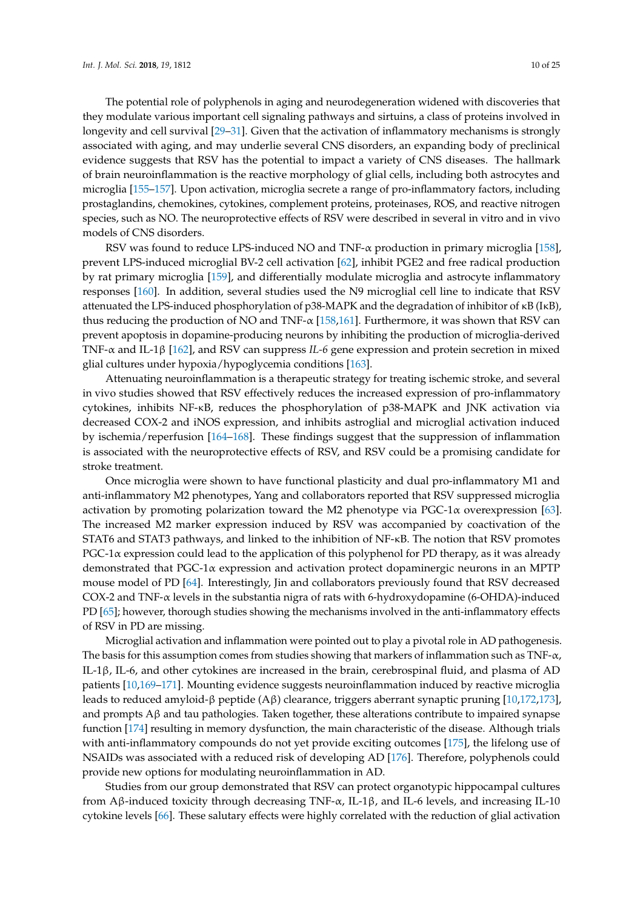The potential role of polyphenols in aging and neurodegeneration widened with discoveries that they modulate various important cell signaling pathways and sirtuins, a class of proteins involved in longevity and cell survival [\[29–](#page-15-9)[31\]](#page-15-10). Given that the activation of inflammatory mechanisms is strongly associated with aging, and may underlie several CNS disorders, an expanding body of preclinical evidence suggests that RSV has the potential to impact a variety of CNS diseases. The hallmark of brain neuroinflammation is the reactive morphology of glial cells, including both astrocytes and microglia [\[155](#page-21-17)[–157\]](#page-21-18). Upon activation, microglia secrete a range of pro-inflammatory factors, including prostaglandins, chemokines, cytokines, complement proteins, proteinases, ROS, and reactive nitrogen species, such as NO. The neuroprotective effects of RSV were described in several in vitro and in vivo models of CNS disorders.

RSV was found to reduce LPS-induced NO and TNF-α production in primary microglia [\[158\]](#page-21-19), prevent LPS-induced microglial BV-2 cell activation [\[62\]](#page-17-4), inhibit PGE2 and free radical production by rat primary microglia [\[159\]](#page-22-0), and differentially modulate microglia and astrocyte inflammatory responses [\[160\]](#page-22-1). In addition, several studies used the N9 microglial cell line to indicate that RSV attenuated the LPS-induced phosphorylation of p38-MAPK and the degradation of inhibitor of κB (IκB), thus reducing the production of NO and TNF- $\alpha$  [\[158,](#page-21-19)[161\]](#page-22-2). Furthermore, it was shown that RSV can prevent apoptosis in dopamine-producing neurons by inhibiting the production of microglia-derived TNF-α and IL-1β [\[162\]](#page-22-3), and RSV can suppress *IL-6* gene expression and protein secretion in mixed glial cultures under hypoxia/hypoglycemia conditions [\[163\]](#page-22-4).

Attenuating neuroinflammation is a therapeutic strategy for treating ischemic stroke, and several in vivo studies showed that RSV effectively reduces the increased expression of pro-inflammatory cytokines, inhibits NF-κB, reduces the phosphorylation of p38-MAPK and JNK activation via decreased COX-2 and iNOS expression, and inhibits astroglial and microglial activation induced by ischemia/reperfusion [\[164–](#page-22-5)[168\]](#page-22-6). These findings suggest that the suppression of inflammation is associated with the neuroprotective effects of RSV, and RSV could be a promising candidate for stroke treatment.

Once microglia were shown to have functional plasticity and dual pro-inflammatory M1 and anti-inflammatory M2 phenotypes, Yang and collaborators reported that RSV suppressed microglia activation by promoting polarization toward the M2 phenotype via PGC-1 $\alpha$  overexpression [\[63\]](#page-17-5). The increased M2 marker expression induced by RSV was accompanied by coactivation of the STAT6 and STAT3 pathways, and linked to the inhibition of NF-κB. The notion that RSV promotes PGC-1 $\alpha$  expression could lead to the application of this polyphenol for PD therapy, as it was already demonstrated that PGC-1α expression and activation protect dopaminergic neurons in an MPTP mouse model of PD [\[64\]](#page-17-6). Interestingly, Jin and collaborators previously found that RSV decreased COX-2 and TNF-α levels in the substantia nigra of rats with 6-hydroxydopamine (6-OHDA)-induced PD [\[65\]](#page-17-7); however, thorough studies showing the mechanisms involved in the anti-inflammatory effects of RSV in PD are missing.

Microglial activation and inflammation were pointed out to play a pivotal role in AD pathogenesis. The basis for this assumption comes from studies showing that markers of inflammation such as TNF- $\alpha$ , IL-1β, IL-6, and other cytokines are increased in the brain, cerebrospinal fluid, and plasma of AD patients [\[10](#page-14-16)[,169](#page-22-7)[–171\]](#page-22-8). Mounting evidence suggests neuroinflammation induced by reactive microglia leads to reduced amyloid-β peptide (Aβ) clearance, triggers aberrant synaptic pruning [\[10,](#page-14-16)[172,](#page-22-9)[173\]](#page-22-10), and prompts Aβ and tau pathologies. Taken together, these alterations contribute to impaired synapse function [\[174\]](#page-22-11) resulting in memory dysfunction, the main characteristic of the disease. Although trials with anti-inflammatory compounds do not yet provide exciting outcomes [\[175\]](#page-22-12), the lifelong use of NSAIDs was associated with a reduced risk of developing AD [\[176\]](#page-22-13). Therefore, polyphenols could provide new options for modulating neuroinflammation in AD.

Studies from our group demonstrated that RSV can protect organotypic hippocampal cultures from Aβ-induced toxicity through decreasing TNF-α, IL-1β, and IL-6 levels, and increasing IL-10 cytokine levels [\[66\]](#page-17-8). These salutary effects were highly correlated with the reduction of glial activation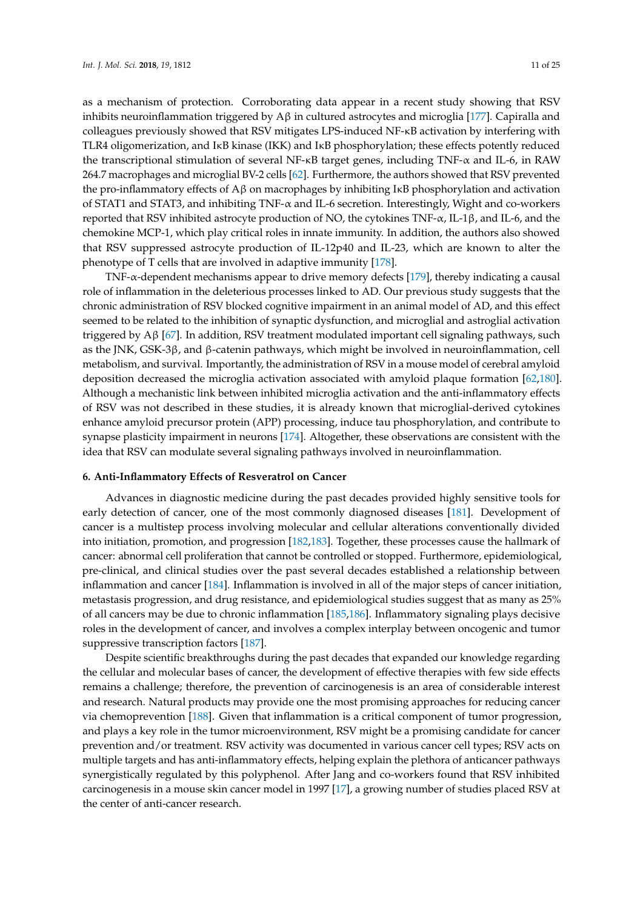as a mechanism of protection. Corroborating data appear in a recent study showing that RSV inhibits neuroinflammation triggered by  $\beta$  in cultured astrocytes and microglia [\[177\]](#page-22-14). Capiralla and colleagues previously showed that RSV mitigates LPS-induced NF-κB activation by interfering with TLR4 oligomerization, and IκB kinase (IKK) and IκB phosphorylation; these effects potently reduced the transcriptional stimulation of several NF-κB target genes, including TNF-α and IL-6, in RAW 264.7 macrophages and microglial BV-2 cells [\[62\]](#page-17-4). Furthermore, the authors showed that RSV prevented the pro-inflammatory effects of  $A\beta$  on macrophages by inhibiting IKB phosphorylation and activation of STAT1 and STAT3, and inhibiting TNF-α and IL-6 secretion. Interestingly, Wight and co-workers reported that RSV inhibited astrocyte production of NO, the cytokines TNF- $\alpha$ , IL-1β, and IL-6, and the chemokine MCP-1, which play critical roles in innate immunity. In addition, the authors also showed that RSV suppressed astrocyte production of IL-12p40 and IL-23, which are known to alter the phenotype of T cells that are involved in adaptive immunity [\[178\]](#page-22-15).

TNF-α-dependent mechanisms appear to drive memory defects [\[179\]](#page-23-0), thereby indicating a causal role of inflammation in the deleterious processes linked to AD. Our previous study suggests that the chronic administration of RSV blocked cognitive impairment in an animal model of AD, and this effect seemed to be related to the inhibition of synaptic dysfunction, and microglial and astroglial activation triggered by Aβ [\[67\]](#page-17-9). In addition, RSV treatment modulated important cell signaling pathways, such as the JNK, GSK-3β, and β-catenin pathways, which might be involved in neuroinflammation, cell metabolism, and survival. Importantly, the administration of RSV in a mouse model of cerebral amyloid deposition decreased the microglia activation associated with amyloid plaque formation [\[62,](#page-17-4)[180\]](#page-23-1). Although a mechanistic link between inhibited microglia activation and the anti-inflammatory effects of RSV was not described in these studies, it is already known that microglial-derived cytokines enhance amyloid precursor protein (APP) processing, induce tau phosphorylation, and contribute to synapse plasticity impairment in neurons [\[174\]](#page-22-11). Altogether, these observations are consistent with the idea that RSV can modulate several signaling pathways involved in neuroinflammation.

#### **6. Anti-Inflammatory Effects of Resveratrol on Cancer**

Advances in diagnostic medicine during the past decades provided highly sensitive tools for early detection of cancer, one of the most commonly diagnosed diseases [\[181\]](#page-23-2). Development of cancer is a multistep process involving molecular and cellular alterations conventionally divided into initiation, promotion, and progression [\[182](#page-23-3)[,183\]](#page-23-4). Together, these processes cause the hallmark of cancer: abnormal cell proliferation that cannot be controlled or stopped. Furthermore, epidemiological, pre-clinical, and clinical studies over the past several decades established a relationship between inflammation and cancer [\[184\]](#page-23-5). Inflammation is involved in all of the major steps of cancer initiation, metastasis progression, and drug resistance, and epidemiological studies suggest that as many as 25% of all cancers may be due to chronic inflammation [\[185,](#page-23-6)[186\]](#page-23-7). Inflammatory signaling plays decisive roles in the development of cancer, and involves a complex interplay between oncogenic and tumor suppressive transcription factors [\[187\]](#page-23-8).

Despite scientific breakthroughs during the past decades that expanded our knowledge regarding the cellular and molecular bases of cancer, the development of effective therapies with few side effects remains a challenge; therefore, the prevention of carcinogenesis is an area of considerable interest and research. Natural products may provide one the most promising approaches for reducing cancer via chemoprevention [\[188\]](#page-23-9). Given that inflammation is a critical component of tumor progression, and plays a key role in the tumor microenvironment, RSV might be a promising candidate for cancer prevention and/or treatment. RSV activity was documented in various cancer cell types; RSV acts on multiple targets and has anti-inflammatory effects, helping explain the plethora of anticancer pathways synergistically regulated by this polyphenol. After Jang and co-workers found that RSV inhibited carcinogenesis in a mouse skin cancer model in 1997 [\[17\]](#page-14-14), a growing number of studies placed RSV at the center of anti-cancer research.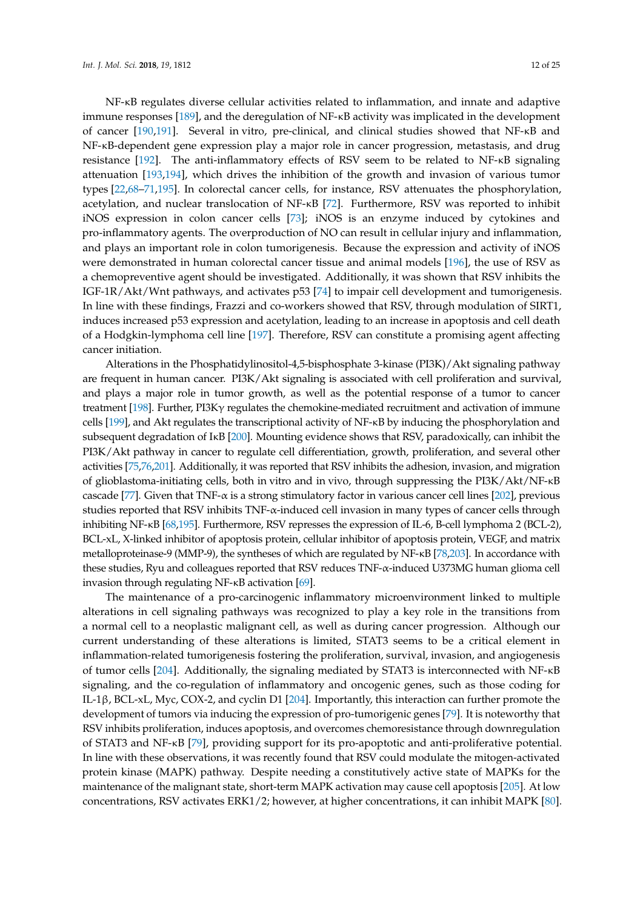NF-κB regulates diverse cellular activities related to inflammation, and innate and adaptive immune responses [\[189\]](#page-23-10), and the deregulation of NF-κB activity was implicated in the development of cancer [\[190,](#page-23-11)[191\]](#page-23-12). Several in vitro, pre-clinical, and clinical studies showed that NF-κB and NF-κB-dependent gene expression play a major role in cancer progression, metastasis, and drug resistance [\[192\]](#page-23-13). The anti-inflammatory effects of RSV seem to be related to NF-κB signaling attenuation [\[193](#page-23-14)[,194\]](#page-23-15), which drives the inhibition of the growth and invasion of various tumor types [\[22,](#page-15-3)[68–](#page-17-10)[71](#page-17-13)[,195\]](#page-23-16). In colorectal cancer cells, for instance, RSV attenuates the phosphorylation, acetylation, and nuclear translocation of NF-κB [\[72\]](#page-17-14). Furthermore, RSV was reported to inhibit iNOS expression in colon cancer cells [\[73\]](#page-17-15); iNOS is an enzyme induced by cytokines and pro-inflammatory agents. The overproduction of NO can result in cellular injury and inflammation, and plays an important role in colon tumorigenesis. Because the expression and activity of iNOS were demonstrated in human colorectal cancer tissue and animal models [\[196\]](#page-23-17), the use of RSV as a chemopreventive agent should be investigated. Additionally, it was shown that RSV inhibits the IGF-1R/Akt/Wnt pathways, and activates p53 [\[74\]](#page-17-16) to impair cell development and tumorigenesis. In line with these findings, Frazzi and co-workers showed that RSV, through modulation of SIRT1, induces increased p53 expression and acetylation, leading to an increase in apoptosis and cell death of a Hodgkin-lymphoma cell line [\[197\]](#page-23-18). Therefore, RSV can constitute a promising agent affecting cancer initiation.

Alterations in the Phosphatidylinositol-4,5-bisphosphate 3-kinase (PI3K)/Akt signaling pathway are frequent in human cancer. PI3K/Akt signaling is associated with cell proliferation and survival, and plays a major role in tumor growth, as well as the potential response of a tumor to cancer treatment [\[198\]](#page-23-19). Further, PI3Kγ regulates the chemokine-mediated recruitment and activation of immune cells [\[199\]](#page-23-20), and Akt regulates the transcriptional activity of NF-κB by inducing the phosphorylation and subsequent degradation of IκB [\[200\]](#page-23-21). Mounting evidence shows that RSV, paradoxically, can inhibit the PI3K/Akt pathway in cancer to regulate cell differentiation, growth, proliferation, and several other activities [\[75,](#page-17-17)[76,](#page-18-0)[201\]](#page-24-0). Additionally, it was reported that RSV inhibits the adhesion, invasion, and migration of glioblastoma-initiating cells, both in vitro and in vivo, through suppressing the PI3K/Akt/NF-κB cascade [\[77\]](#page-18-1). Given that TNF-α is a strong stimulatory factor in various cancer cell lines [\[202\]](#page-24-1), previous studies reported that RSV inhibits TNF-α-induced cell invasion in many types of cancer cells through inhibiting NF-κB [\[68](#page-17-10)[,195\]](#page-23-16). Furthermore, RSV represses the expression of IL-6, B-cell lymphoma 2 (BCL-2), BCL-xL, X-linked inhibitor of apoptosis protein, cellular inhibitor of apoptosis protein, VEGF, and matrix metalloproteinase-9 (MMP-9), the syntheses of which are regulated by NF-κB [\[78,](#page-18-2)[203\]](#page-24-2). In accordance with these studies, Ryu and colleagues reported that RSV reduces TNF-α-induced U373MG human glioma cell invasion through regulating NF-κB activation [\[69\]](#page-17-11).

The maintenance of a pro-carcinogenic inflammatory microenvironment linked to multiple alterations in cell signaling pathways was recognized to play a key role in the transitions from a normal cell to a neoplastic malignant cell, as well as during cancer progression. Although our current understanding of these alterations is limited, STAT3 seems to be a critical element in inflammation-related tumorigenesis fostering the proliferation, survival, invasion, and angiogenesis of tumor cells [\[204\]](#page-24-3). Additionally, the signaling mediated by STAT3 is interconnected with NF-κB signaling, and the co-regulation of inflammatory and oncogenic genes, such as those coding for IL-1β, BCL-xL, Myc, COX-2, and cyclin D1 [\[204\]](#page-24-3). Importantly, this interaction can further promote the development of tumors via inducing the expression of pro-tumorigenic genes [\[79\]](#page-18-3). It is noteworthy that RSV inhibits proliferation, induces apoptosis, and overcomes chemoresistance through downregulation of STAT3 and NF-κB [\[79\]](#page-18-3), providing support for its pro-apoptotic and anti-proliferative potential. In line with these observations, it was recently found that RSV could modulate the mitogen-activated protein kinase (MAPK) pathway. Despite needing a constitutively active state of MAPKs for the maintenance of the malignant state, short-term MAPK activation may cause cell apoptosis [\[205\]](#page-24-4). At low concentrations, RSV activates ERK1/2; however, at higher concentrations, it can inhibit MAPK [\[80\]](#page-18-4).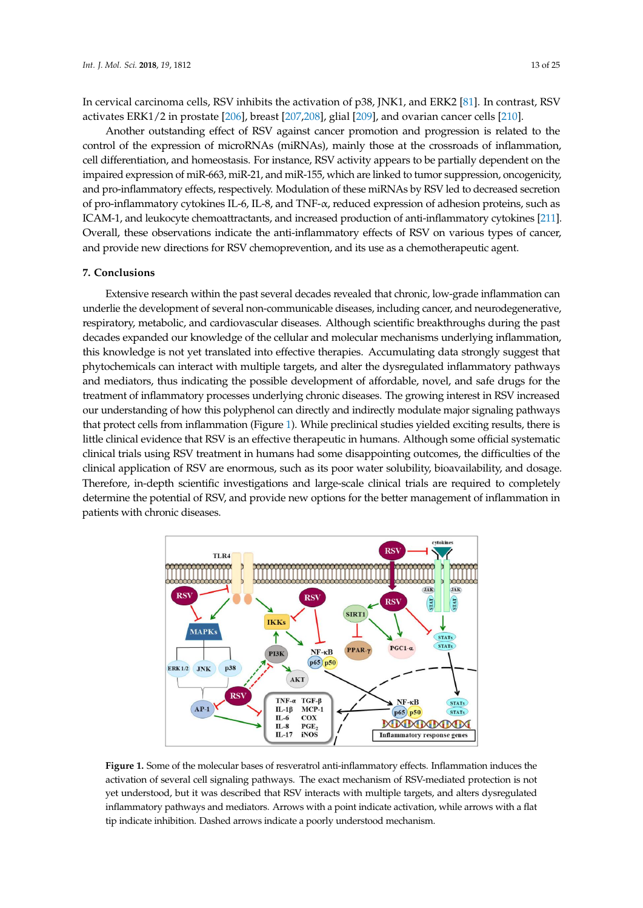In cervical carcinoma cells, RSV inhibits the activation of p38, JNK1, and ERK2 [\[81\]](#page-18-5). In contrast, RSV activates ERK1/2 in prostate [\[206\]](#page-24-5), breast [\[207,](#page-24-6)[208\]](#page-24-7), glial [\[209\]](#page-24-8), and ovarian cancer cells [\[210\]](#page-24-9).

Another outstanding effect of RSV against cancer promotion and progression is related to the control of the expression of microRNAs (miRNAs), mainly those at the crossroads of inflammation, cell differentiation, and homeostasis. For instance, RSV activity appears to be partially dependent on the impaired expression of miR-663, miR-21, and miR-155, which are linked to tumor suppression, oncogenicity, and pro-inflammatory effects, respectively. Modulation of these miRNAs by RSV led to decreased secretion of pro-inflammatory cytokines IL-6, IL-8, and TNF-α, reduced expression of adhesion proteins, such as ICAM-1, and leukocyte chemoattractants, and increased production of anti-inflammatory cytokines [\[211\]](#page-24-10). Overall, these observations indicate the anti-inflammatory effects of RSV on various types of cancer, and provide new directions for RSV chemoprevention, and its use as a chemotherapeutic agent.

#### **7. Conclusions**

Extensive research within the past several decades revealed that chronic, low-grade inflammation can underlie the development of several non-communicable diseases, including cancer, and neurodegenerative, respiratory, metabolic, and cardiovascular diseases. Although scientific breakthroughs during the past decades expanded our knowledge of the cellular and molecular mechanisms underlying inflammation, this knowledge is not yet translated into effective therapies. Accumulating data strongly suggest that phytochemicals can interact with multiple targets, and alter the dysregulated inflammatory pathways and mediators, thus indicating the possible development of affordable, novel, and safe drugs for the treatment of inflammatory processes underlying chronic diseases. The growing interest in RSV increased our understanding of how this polyphenol can directly and indirectly modulate major signaling pathways that protect cells from inflammation (Figure [1\)](#page-12-0). While preclinical studies yielded exciting results, there is little clinical evidence that RSV is an effective therapeutic in humans. Although some official systematic clinical trials using RSV treatment in humans had some disappointing outcomes, the difficulties of the clinical application of RSV are enormous, such as its poor water solubility, bioavailability, and dosage. Therefore, in-depth scientific investigations and large-scale clinical trials are required to completely determine the potential of RSV, and provide new options for the better management of inflammation in patients with chronic diseases. inflammation in patients with chronic diseases.

<span id="page-12-0"></span>

**Figure 1.** Some of the molecular bases of resveratrol anti-inflammatory effects. Inflammation induces **Figure 1.** Some of the molecular bases of resveratrol anti-inflammatory effects. Inflammation induces the activation of several cell signaling pathways. The exact mechanism of RSV-mediated protection is not yet understood, but it was described that RSV interacts with multiple targets, and alters dysregulated inflammatory pathways and mediators. Arrows with a point indicate activation, while arrows with a flat tip indicate inhibition. Dashed arrows indicate a poorly understood mechanism.

**Acknowledgments:** Work in the authors' laboratories was supported by grants from Conselho Nacional de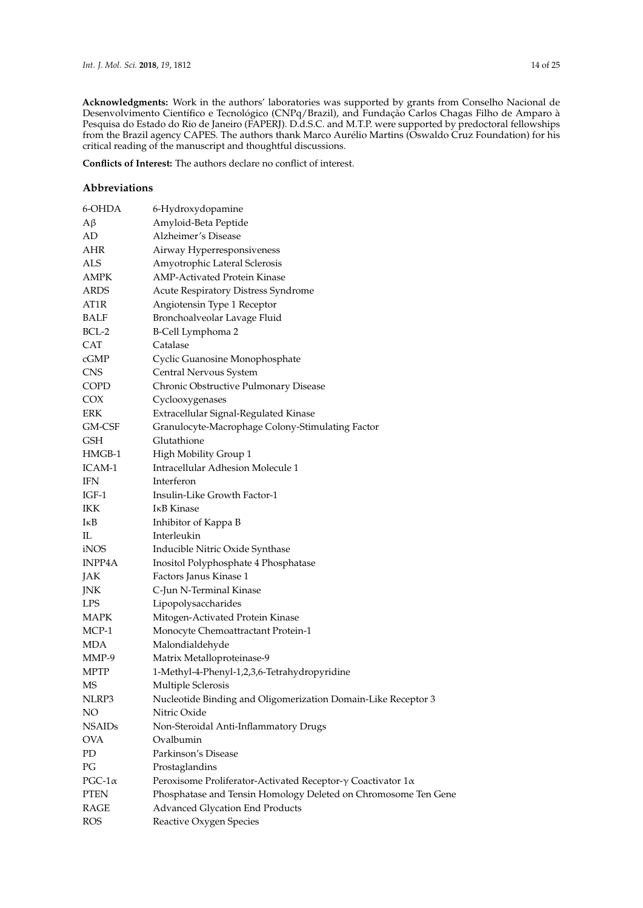**Acknowledgments:** Work in the authors' laboratories was supported by grants from Conselho Nacional de Desenvolvimento Científico e Tecnológico (CNPq/Brazil), and Fundação Carlos Chagas Filho de Amparo à Pesquisa do Estado do Rio de Janeiro (FAPERJ). D.d.S.C. and M.T.P. were supported by predoctoral fellowships from the Brazil agency CAPES. The authors thank Marco Aurélio Martins (Oswaldo Cruz Foundation) for his critical reading of the manuscript and thoughtful discussions.

**Conflicts of Interest:** The authors declare no conflict of interest.

### **Abbreviations**

| 6-OHDA        | 6-Hydroxydopamine                                                           |
|---------------|-----------------------------------------------------------------------------|
| $A\beta$      | Amyloid-Beta Peptide                                                        |
| AD            | Alzheimer's Disease                                                         |
| AHR           | Airway Hyperresponsiveness                                                  |
| <b>ALS</b>    | Amyotrophic Lateral Sclerosis                                               |
| AMPK          | <b>AMP-Activated Protein Kinase</b>                                         |
| ARDS          | Acute Respiratory Distress Syndrome                                         |
| AT1R          | Angiotensin Type 1 Receptor                                                 |
| BALF          | Bronchoalveolar Lavage Fluid                                                |
| $BCL-2$       | B-Cell Lymphoma 2                                                           |
| <b>CAT</b>    | Catalase                                                                    |
| cGMP          | Cyclic Guanosine Monophosphate                                              |
| <b>CNS</b>    | Central Nervous System                                                      |
| <b>COPD</b>   | Chronic Obstructive Pulmonary Disease                                       |
| COX           | Cyclooxygenases                                                             |
| ERK           | Extracellular Signal-Regulated Kinase                                       |
| GM-CSF        | Granulocyte-Macrophage Colony-Stimulating Factor                            |
| <b>GSH</b>    | Glutathione                                                                 |
| HMGB-1        | High Mobility Group 1                                                       |
| ICAM-1        | Intracellular Adhesion Molecule 1                                           |
| <b>IFN</b>    | Interferon                                                                  |
| IGF-1         | Insulin-Like Growth Factor-1                                                |
| IKK           | I <sub>K</sub> B Kinase                                                     |
| IĸB           | Inhibitor of Kappa B                                                        |
| IL            | Interleukin                                                                 |
| iNOS          | Inducible Nitric Oxide Synthase                                             |
| INPP4A        | Inositol Polyphosphate 4 Phosphatase                                        |
| JAK           | Factors Janus Kinase 1                                                      |
| JNK           | C-Jun N-Terminal Kinase                                                     |
| <b>LPS</b>    | Lipopolysaccharides                                                         |
| MAPK          | Mitogen-Activated Protein Kinase                                            |
| MCP-1         | Monocyte Chemoattractant Protein-1                                          |
| MDA           | Malondialdehyde                                                             |
| MMP-9         | Matrix Metalloproteinase-9                                                  |
| MPTP          | 1-Methyl-4-Phenyl-1,2,3,6-Tetrahydropyridine                                |
| <b>MS</b>     | Multiple Sclerosis                                                          |
| NLRP3         | Nucleotide Binding and Oligomerization Domain-Like Receptor 3               |
| NO            | Nitric Oxide                                                                |
| <b>NSAIDs</b> | Non-Steroidal Anti-Inflammatory Drugs                                       |
| <b>OVA</b>    | Ovalbumin                                                                   |
| PD            | Parkinson's Disease                                                         |
| PG            | Prostaglandins                                                              |
| $PGC-1\alpha$ | Peroxisome Proliferator-Activated Receptor- $\gamma$ Coactivator 1 $\alpha$ |
| <b>PTEN</b>   | Phosphatase and Tensin Homology Deleted on Chromosome Ten Gene              |
| <b>RAGE</b>   | <b>Advanced Glycation End Products</b>                                      |
| <b>ROS</b>    | Reactive Oxygen Species                                                     |
|               |                                                                             |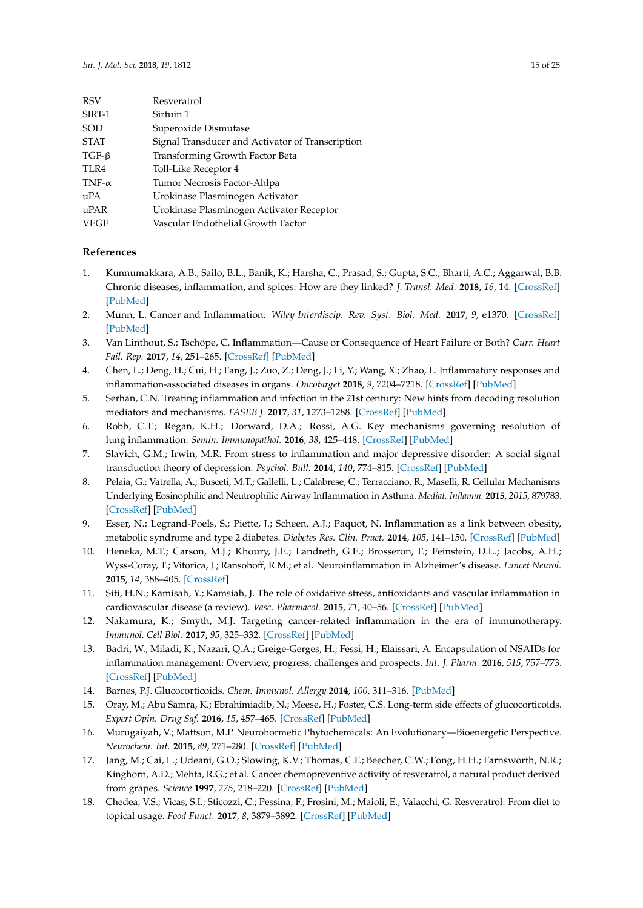| <b>RSV</b>    | Resveratrol                                      |
|---------------|--------------------------------------------------|
| SIRT-1        | Sirtuin 1                                        |
| SOD           | Superoxide Dismutase                             |
| <b>STAT</b>   | Signal Transducer and Activator of Transcription |
| $TGF-\beta$   | Transforming Growth Factor Beta                  |
| TLR4          | Toll-Like Receptor 4                             |
| TNF- $\alpha$ | Tumor Necrosis Factor-Ahlpa                      |
| uPA           | Urokinase Plasminogen Activator                  |
| uPAR          | Urokinase Plasminogen Activator Receptor         |
| VEGF          | Vascular Endothelial Growth Factor               |

#### **References**

- <span id="page-14-0"></span>1. Kunnumakkara, A.B.; Sailo, B.L.; Banik, K.; Harsha, C.; Prasad, S.; Gupta, S.C.; Bharti, A.C.; Aggarwal, B.B. Chronic diseases, inflammation, and spices: How are they linked? *J. Transl. Med.* **2018**, *16*, 14. [\[CrossRef\]](http://dx.doi.org/10.1186/s12967-018-1381-2) [\[PubMed\]](http://www.ncbi.nlm.nih.gov/pubmed/29370858)
- <span id="page-14-1"></span>2. Munn, L. Cancer and Inflammation. *Wiley Interdiscip. Rev. Syst. Biol. Med.* **2017**, *9*, e1370. [\[CrossRef\]](http://dx.doi.org/10.1002/wsbm.1370) [\[PubMed\]](http://www.ncbi.nlm.nih.gov/pubmed/27943646)
- <span id="page-14-2"></span>3. Van Linthout, S.; Tschöpe, C. Inflammation—Cause or Consequence of Heart Failure or Both? *Curr. Heart Fail. Rep.* **2017**, *14*, 251–265. [\[CrossRef\]](http://dx.doi.org/10.1007/s11897-017-0337-9) [\[PubMed\]](http://www.ncbi.nlm.nih.gov/pubmed/28667492)
- <span id="page-14-3"></span>4. Chen, L.; Deng, H.; Cui, H.; Fang, J.; Zuo, Z.; Deng, J.; Li, Y.; Wang, X.; Zhao, L. Inflammatory responses and inflammation-associated diseases in organs. *Oncotarget* **2018**, *9*, 7204–7218. [\[CrossRef\]](http://dx.doi.org/10.18632/oncotarget.23208) [\[PubMed\]](http://www.ncbi.nlm.nih.gov/pubmed/29467962)
- <span id="page-14-4"></span>5. Serhan, C.N. Treating inflammation and infection in the 21st century: New hints from decoding resolution mediators and mechanisms. *FASEB J.* **2017**, *31*, 1273–1288. [\[CrossRef\]](http://dx.doi.org/10.1096/fj.201601222R) [\[PubMed\]](http://www.ncbi.nlm.nih.gov/pubmed/28087575)
- <span id="page-14-5"></span>6. Robb, C.T.; Regan, K.H.; Dorward, D.A.; Rossi, A.G. Key mechanisms governing resolution of lung inflammation. *Semin. Immunopathol.* **2016**, *38*, 425–448. [\[CrossRef\]](http://dx.doi.org/10.1007/s00281-016-0560-6) [\[PubMed\]](http://www.ncbi.nlm.nih.gov/pubmed/27116944)
- <span id="page-14-6"></span>7. Slavich, G.M.; Irwin, M.R. From stress to inflammation and major depressive disorder: A social signal transduction theory of depression. *Psychol. Bull.* **2014**, *140*, 774–815. [\[CrossRef\]](http://dx.doi.org/10.1037/a0035302) [\[PubMed\]](http://www.ncbi.nlm.nih.gov/pubmed/24417575)
- <span id="page-14-7"></span>8. Pelaia, G.; Vatrella, A.; Busceti, M.T.; Gallelli, L.; Calabrese, C.; Terracciano, R.; Maselli, R. Cellular Mechanisms Underlying Eosinophilic and Neutrophilic Airway Inflammation in Asthma. *Mediat. Inflamm.* **2015**, *2015*, 879783. [\[CrossRef\]](http://dx.doi.org/10.1155/2015/879783) [\[PubMed\]](http://www.ncbi.nlm.nih.gov/pubmed/25878402)
- 9. Esser, N.; Legrand-Poels, S.; Piette, J.; Scheen, A.J.; Paquot, N. Inflammation as a link between obesity, metabolic syndrome and type 2 diabetes. *Diabetes Res. Clin. Pract.* **2014**, *105*, 141–150. [\[CrossRef\]](http://dx.doi.org/10.1016/j.diabres.2014.04.006) [\[PubMed\]](http://www.ncbi.nlm.nih.gov/pubmed/24798950)
- <span id="page-14-16"></span>10. Heneka, M.T.; Carson, M.J.; Khoury, J.E.; Landreth, G.E.; Brosseron, F.; Feinstein, D.L.; Jacobs, A.H.; Wyss-Coray, T.; Vitorica, J.; Ransohoff, R.M.; et al. Neuroinflammation in Alzheimer's disease. *Lancet Neurol.* **2015**, *14*, 388–405. [\[CrossRef\]](http://dx.doi.org/10.1016/S1474-4422(15)70016-5)
- <span id="page-14-8"></span>11. Siti, H.N.; Kamisah, Y.; Kamsiah, J. The role of oxidative stress, antioxidants and vascular inflammation in cardiovascular disease (a review). *Vasc. Pharmacol.* **2015**, *71*, 40–56. [\[CrossRef\]](http://dx.doi.org/10.1016/j.vph.2015.03.005) [\[PubMed\]](http://www.ncbi.nlm.nih.gov/pubmed/25869516)
- <span id="page-14-9"></span>12. Nakamura, K.; Smyth, M.J. Targeting cancer-related inflammation in the era of immunotherapy. *Immunol. Cell Biol.* **2017**, *95*, 325–332. [\[CrossRef\]](http://dx.doi.org/10.1038/icb.2016.126) [\[PubMed\]](http://www.ncbi.nlm.nih.gov/pubmed/27999432)
- <span id="page-14-10"></span>13. Badri, W.; Miladi, K.; Nazari, Q.A.; Greige-Gerges, H.; Fessi, H.; Elaissari, A. Encapsulation of NSAIDs for inflammation management: Overview, progress, challenges and prospects. *Int. J. Pharm.* **2016**, *515*, 757–773. [\[CrossRef\]](http://dx.doi.org/10.1016/j.ijpharm.2016.11.002) [\[PubMed\]](http://www.ncbi.nlm.nih.gov/pubmed/27829170)
- <span id="page-14-11"></span>14. Barnes, P.J. Glucocorticoids. *Chem. Immunol. Allergy* **2014**, *100*, 311–316. [\[PubMed\]](http://www.ncbi.nlm.nih.gov/pubmed/24925411)
- <span id="page-14-12"></span>15. Oray, M.; Abu Samra, K.; Ebrahimiadib, N.; Meese, H.; Foster, C.S. Long-term side effects of glucocorticoids. *Expert Opin. Drug Saf.* **2016**, *15*, 457–465. [\[CrossRef\]](http://dx.doi.org/10.1517/14740338.2016.1140743) [\[PubMed\]](http://www.ncbi.nlm.nih.gov/pubmed/26789102)
- <span id="page-14-13"></span>16. Murugaiyah, V.; Mattson, M.P. Neurohormetic Phytochemicals: An Evolutionary—Bioenergetic Perspective. *Neurochem. Int.* **2015**, *89*, 271–280. [\[CrossRef\]](http://dx.doi.org/10.1016/j.neuint.2015.03.009) [\[PubMed\]](http://www.ncbi.nlm.nih.gov/pubmed/25861940)
- <span id="page-14-14"></span>17. Jang, M.; Cai, L.; Udeani, G.O.; Slowing, K.V.; Thomas, C.F.; Beecher, C.W.; Fong, H.H.; Farnsworth, N.R.; Kinghorn, A.D.; Mehta, R.G.; et al. Cancer chemopreventive activity of resveratrol, a natural product derived from grapes. *Science* **1997**, *275*, 218–220. [\[CrossRef\]](http://dx.doi.org/10.1126/science.275.5297.218) [\[PubMed\]](http://www.ncbi.nlm.nih.gov/pubmed/8985016)
- <span id="page-14-15"></span>18. Chedea, V.S.; Vicas, S.I.; Sticozzi, C.; Pessina, F.; Frosini, M.; Maioli, E.; Valacchi, G. Resveratrol: From diet to topical usage. *Food Funct.* **2017**, *8*, 3879–3892. [\[CrossRef\]](http://dx.doi.org/10.1039/C7FO01086A) [\[PubMed\]](http://www.ncbi.nlm.nih.gov/pubmed/29034918)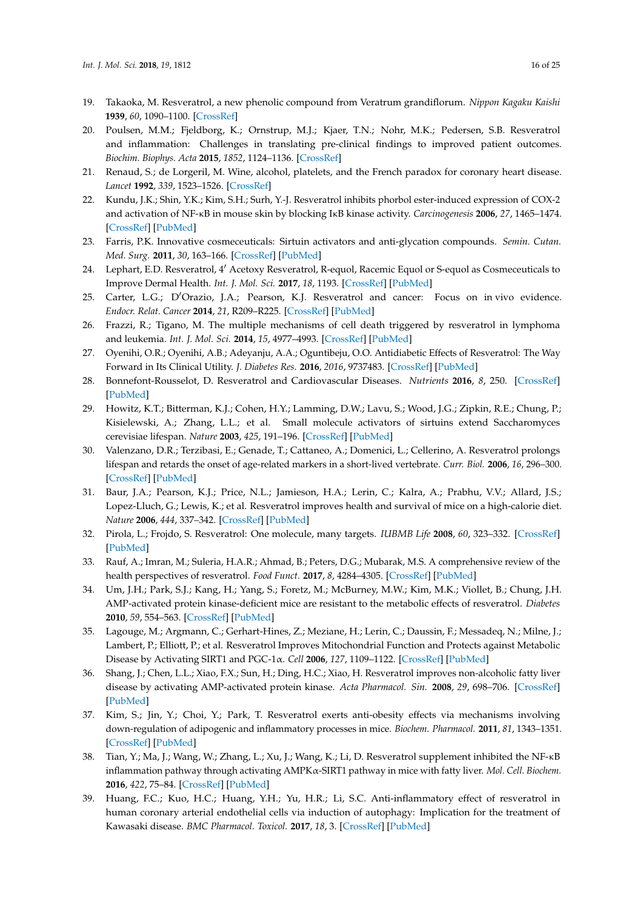- <span id="page-15-0"></span>19. Takaoka, M. Resveratrol, a new phenolic compound from Veratrum grandiflorum. *Nippon Kagaku Kaishi* **1939**, *60*, 1090–1100. [\[CrossRef\]](http://dx.doi.org/10.1246/nikkashi1921.60.1090)
- <span id="page-15-1"></span>20. Poulsen, M.M.; Fjeldborg, K.; Ornstrup, M.J.; Kjaer, T.N.; Nohr, M.K.; Pedersen, S.B. Resveratrol and inflammation: Challenges in translating pre-clinical findings to improved patient outcomes. *Biochim. Biophys. Acta* **2015**, *1852*, 1124–1136. [\[CrossRef\]](http://dx.doi.org/10.1016/j.bbadis.2014.12.024)
- <span id="page-15-2"></span>21. Renaud, S.; de Lorgeril, M. Wine, alcohol, platelets, and the French paradox for coronary heart disease. *Lancet* **1992**, *339*, 1523–1526. [\[CrossRef\]](http://dx.doi.org/10.1016/0140-6736(92)91277-F)
- <span id="page-15-3"></span>22. Kundu, J.K.; Shin, Y.K.; Kim, S.H.; Surh, Y.-J. Resveratrol inhibits phorbol ester-induced expression of COX-2 and activation of NF-κB in mouse skin by blocking IκB kinase activity. *Carcinogenesis* **2006**, *27*, 1465–1474. [\[CrossRef\]](http://dx.doi.org/10.1093/carcin/bgi349) [\[PubMed\]](http://www.ncbi.nlm.nih.gov/pubmed/16474181)
- 23. Farris, P.K. Innovative cosmeceuticals: Sirtuin activators and anti-glycation compounds. *Semin. Cutan. Med. Surg.* **2011**, *30*, 163–166. [\[CrossRef\]](http://dx.doi.org/10.1016/j.sder.2011.05.004) [\[PubMed\]](http://www.ncbi.nlm.nih.gov/pubmed/21925370)
- <span id="page-15-4"></span>24. Lephart, E.D. Resveratrol, 4' Acetoxy Resveratrol, R-equol, Racemic Equol or S-equol as Cosmeceuticals to Improve Dermal Health. *Int. J. Mol. Sci.* **2017**, *18*, 1193. [\[CrossRef\]](http://dx.doi.org/10.3390/ijms18061193) [\[PubMed\]](http://www.ncbi.nlm.nih.gov/pubmed/28587197)
- <span id="page-15-5"></span>25. Carter, L.G.; D'Orazio, J.A.; Pearson, K.J. Resveratrol and cancer: Focus on in vivo evidence. *Endocr. Relat. Cancer* **2014**, *21*, R209–R225. [\[CrossRef\]](http://dx.doi.org/10.1530/ERC-13-0171) [\[PubMed\]](http://www.ncbi.nlm.nih.gov/pubmed/24500760)
- <span id="page-15-6"></span>26. Frazzi, R.; Tigano, M. The multiple mechanisms of cell death triggered by resveratrol in lymphoma and leukemia. *Int. J. Mol. Sci.* **2014**, *15*, 4977–4993. [\[CrossRef\]](http://dx.doi.org/10.3390/ijms15034977) [\[PubMed\]](http://www.ncbi.nlm.nih.gov/pubmed/24658441)
- <span id="page-15-7"></span>27. Oyenihi, O.R.; Oyenihi, A.B.; Adeyanju, A.A.; Oguntibeju, O.O. Antidiabetic Effects of Resveratrol: The Way Forward in Its Clinical Utility. *J. Diabetes Res.* **2016**, *2016*, 9737483. [\[CrossRef\]](http://dx.doi.org/10.1155/2016/9737483) [\[PubMed\]](http://www.ncbi.nlm.nih.gov/pubmed/28050570)
- <span id="page-15-8"></span>28. Bonnefont-Rousselot, D. Resveratrol and Cardiovascular Diseases. *Nutrients* **2016**, *8*, 250. [\[CrossRef\]](http://dx.doi.org/10.3390/nu8050250) [\[PubMed\]](http://www.ncbi.nlm.nih.gov/pubmed/27144581)
- <span id="page-15-9"></span>29. Howitz, K.T.; Bitterman, K.J.; Cohen, H.Y.; Lamming, D.W.; Lavu, S.; Wood, J.G.; Zipkin, R.E.; Chung, P.; Kisielewski, A.; Zhang, L.L.; et al. Small molecule activators of sirtuins extend Saccharomyces cerevisiae lifespan. *Nature* **2003**, *425*, 191–196. [\[CrossRef\]](http://dx.doi.org/10.1038/nature01960) [\[PubMed\]](http://www.ncbi.nlm.nih.gov/pubmed/12939617)
- 30. Valenzano, D.R.; Terzibasi, E.; Genade, T.; Cattaneo, A.; Domenici, L.; Cellerino, A. Resveratrol prolongs lifespan and retards the onset of age-related markers in a short-lived vertebrate. *Curr. Biol.* **2006**, *16*, 296–300. [\[CrossRef\]](http://dx.doi.org/10.1016/j.cub.2005.12.038) [\[PubMed\]](http://www.ncbi.nlm.nih.gov/pubmed/16461283)
- <span id="page-15-10"></span>31. Baur, J.A.; Pearson, K.J.; Price, N.L.; Jamieson, H.A.; Lerin, C.; Kalra, A.; Prabhu, V.V.; Allard, J.S.; Lopez-Lluch, G.; Lewis, K.; et al. Resveratrol improves health and survival of mice on a high-calorie diet. *Nature* **2006**, *444*, 337–342. [\[CrossRef\]](http://dx.doi.org/10.1038/nature05354) [\[PubMed\]](http://www.ncbi.nlm.nih.gov/pubmed/17086191)
- <span id="page-15-11"></span>32. Pirola, L.; Frojdo, S. Resveratrol: One molecule, many targets. *IUBMB Life* **2008**, *60*, 323–332. [\[CrossRef\]](http://dx.doi.org/10.1002/iub.47) [\[PubMed\]](http://www.ncbi.nlm.nih.gov/pubmed/18421779)
- <span id="page-15-12"></span>33. Rauf, A.; Imran, M.; Suleria, H.A.R.; Ahmad, B.; Peters, D.G.; Mubarak, M.S. A comprehensive review of the health perspectives of resveratrol. *Food Funct.* **2017**, *8*, 4284–4305. [\[CrossRef\]](http://dx.doi.org/10.1039/C7FO01300K) [\[PubMed\]](http://www.ncbi.nlm.nih.gov/pubmed/29044265)
- <span id="page-15-13"></span>34. Um, J.H.; Park, S.J.; Kang, H.; Yang, S.; Foretz, M.; McBurney, M.W.; Kim, M.K.; Viollet, B.; Chung, J.H. AMP-activated protein kinase-deficient mice are resistant to the metabolic effects of resveratrol. *Diabetes* **2010**, *59*, 554–563. [\[CrossRef\]](http://dx.doi.org/10.2337/db09-0482) [\[PubMed\]](http://www.ncbi.nlm.nih.gov/pubmed/19934007)
- <span id="page-15-14"></span>35. Lagouge, M.; Argmann, C.; Gerhart-Hines, Z.; Meziane, H.; Lerin, C.; Daussin, F.; Messadeq, N.; Milne, J.; Lambert, P.; Elliott, P.; et al. Resveratrol Improves Mitochondrial Function and Protects against Metabolic Disease by Activating SIRT1 and PGC-1α. *Cell* **2006**, *127*, 1109–1122. [\[CrossRef\]](http://dx.doi.org/10.1016/j.cell.2006.11.013) [\[PubMed\]](http://www.ncbi.nlm.nih.gov/pubmed/17112576)
- <span id="page-15-17"></span>36. Shang, J.; Chen, L.L.; Xiao, F.X.; Sun, H.; Ding, H.C.; Xiao, H. Resveratrol improves non-alcoholic fatty liver disease by activating AMP-activated protein kinase. *Acta Pharmacol. Sin.* **2008**, *29*, 698–706. [\[CrossRef\]](http://dx.doi.org/10.1111/j.1745-7254.2008.00807.x) [\[PubMed\]](http://www.ncbi.nlm.nih.gov/pubmed/18501116)
- <span id="page-15-18"></span>37. Kim, S.; Jin, Y.; Choi, Y.; Park, T. Resveratrol exerts anti-obesity effects via mechanisms involving down-regulation of adipogenic and inflammatory processes in mice. *Biochem. Pharmacol.* **2011**, *81*, 1343–1351. [\[CrossRef\]](http://dx.doi.org/10.1016/j.bcp.2011.03.012) [\[PubMed\]](http://www.ncbi.nlm.nih.gov/pubmed/21439945)
- <span id="page-15-15"></span>38. Tian, Y.; Ma, J.; Wang, W.; Zhang, L.; Xu, J.; Wang, K.; Li, D. Resveratrol supplement inhibited the NF-κB inflammation pathway through activating AMPKα-SIRT1 pathway in mice with fatty liver. *Mol. Cell. Biochem.* **2016**, *422*, 75–84. [\[CrossRef\]](http://dx.doi.org/10.1007/s11010-016-2807-x) [\[PubMed\]](http://www.ncbi.nlm.nih.gov/pubmed/27613163)
- <span id="page-15-16"></span>39. Huang, F.C.; Kuo, H.C.; Huang, Y.H.; Yu, H.R.; Li, S.C. Anti-inflammatory effect of resveratrol in human coronary arterial endothelial cells via induction of autophagy: Implication for the treatment of Kawasaki disease. *BMC Pharmacol. Toxicol.* **2017**, *18*, 3. [\[CrossRef\]](http://dx.doi.org/10.1186/s40360-016-0109-2) [\[PubMed\]](http://www.ncbi.nlm.nih.gov/pubmed/28069066)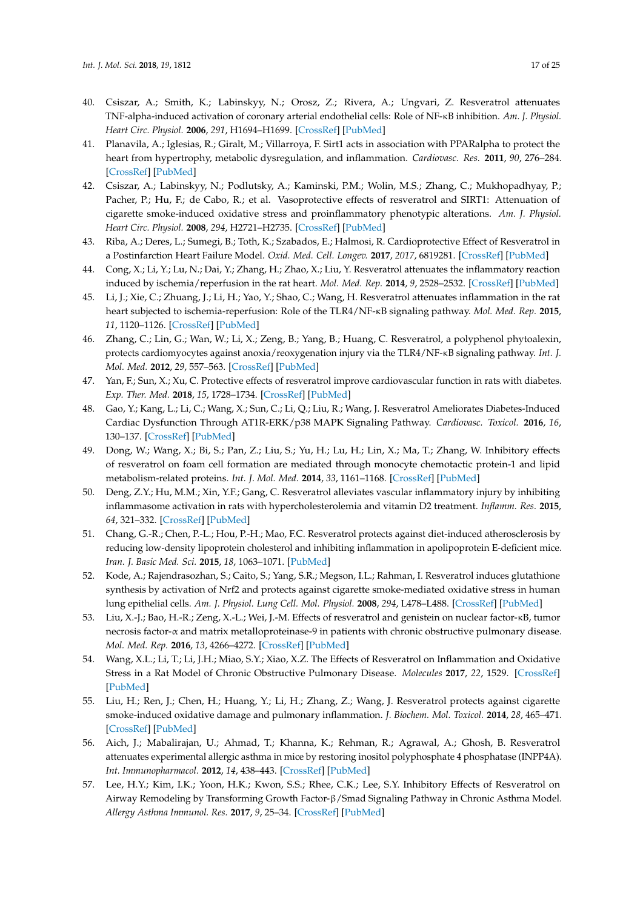- <span id="page-16-0"></span>40. Csiszar, A.; Smith, K.; Labinskyy, N.; Orosz, Z.; Rivera, A.; Ungvari, Z. Resveratrol attenuates TNF-alpha-induced activation of coronary arterial endothelial cells: Role of NF-κB inhibition. *Am. J. Physiol. Heart Circ. Physiol.* **2006**, *291*, H1694–H1699. [\[CrossRef\]](http://dx.doi.org/10.1152/ajpheart.00340.2006) [\[PubMed\]](http://www.ncbi.nlm.nih.gov/pubmed/16973825)
- <span id="page-16-1"></span>41. Planavila, A.; Iglesias, R.; Giralt, M.; Villarroya, F. Sirt1 acts in association with PPARalpha to protect the heart from hypertrophy, metabolic dysregulation, and inflammation. *Cardiovasc. Res.* **2011**, *90*, 276–284. [\[CrossRef\]](http://dx.doi.org/10.1093/cvr/cvq376) [\[PubMed\]](http://www.ncbi.nlm.nih.gov/pubmed/21115502)
- <span id="page-16-2"></span>42. Csiszar, A.; Labinskyy, N.; Podlutsky, A.; Kaminski, P.M.; Wolin, M.S.; Zhang, C.; Mukhopadhyay, P.; Pacher, P.; Hu, F.; de Cabo, R.; et al. Vasoprotective effects of resveratrol and SIRT1: Attenuation of cigarette smoke-induced oxidative stress and proinflammatory phenotypic alterations. *Am. J. Physiol. Heart Circ. Physiol.* **2008**, *294*, H2721–H2735. [\[CrossRef\]](http://dx.doi.org/10.1152/ajpheart.00235.2008) [\[PubMed\]](http://www.ncbi.nlm.nih.gov/pubmed/18424637)
- <span id="page-16-3"></span>43. Riba, A.; Deres, L.; Sumegi, B.; Toth, K.; Szabados, E.; Halmosi, R. Cardioprotective Effect of Resveratrol in a Postinfarction Heart Failure Model. *Oxid. Med. Cell. Longev.* **2017**, *2017*, 6819281. [\[CrossRef\]](http://dx.doi.org/10.1155/2017/6819281) [\[PubMed\]](http://www.ncbi.nlm.nih.gov/pubmed/29109832)
- <span id="page-16-4"></span>44. Cong, X.; Li, Y.; Lu, N.; Dai, Y.; Zhang, H.; Zhao, X.; Liu, Y. Resveratrol attenuates the inflammatory reaction induced by ischemia/reperfusion in the rat heart. *Mol. Med. Rep.* **2014**, *9*, 2528–2532. [\[CrossRef\]](http://dx.doi.org/10.3892/mmr.2014.2090) [\[PubMed\]](http://www.ncbi.nlm.nih.gov/pubmed/24682318)
- <span id="page-16-5"></span>45. Li, J.; Xie, C.; Zhuang, J.; Li, H.; Yao, Y.; Shao, C.; Wang, H. Resveratrol attenuates inflammation in the rat heart subjected to ischemia-reperfusion: Role of the TLR4/NF-κB signaling pathway. *Mol. Med. Rep.* **2015**, *11*, 1120–1126. [\[CrossRef\]](http://dx.doi.org/10.3892/mmr.2014.2955) [\[PubMed\]](http://www.ncbi.nlm.nih.gov/pubmed/25405531)
- <span id="page-16-6"></span>46. Zhang, C.; Lin, G.; Wan, W.; Li, X.; Zeng, B.; Yang, B.; Huang, C. Resveratrol, a polyphenol phytoalexin, protects cardiomyocytes against anoxia/reoxygenation injury via the TLR4/NF-κB signaling pathway. *Int. J. Mol. Med.* **2012**, *29*, 557–563. [\[CrossRef\]](http://dx.doi.org/10.3892/ijmm.2012.885) [\[PubMed\]](http://www.ncbi.nlm.nih.gov/pubmed/22246136)
- <span id="page-16-7"></span>47. Yan, F.; Sun, X.; Xu, C. Protective effects of resveratrol improve cardiovascular function in rats with diabetes. *Exp. Ther. Med.* **2018**, *15*, 1728–1734. [\[CrossRef\]](http://dx.doi.org/10.3892/etm.2017.5537) [\[PubMed\]](http://www.ncbi.nlm.nih.gov/pubmed/29434758)
- <span id="page-16-8"></span>48. Gao, Y.; Kang, L.; Li, C.; Wang, X.; Sun, C.; Li, Q.; Liu, R.; Wang, J. Resveratrol Ameliorates Diabetes-Induced Cardiac Dysfunction Through AT1R-ERK/p38 MAPK Signaling Pathway. *Cardiovasc. Toxicol.* **2016**, *16*, 130–137. [\[CrossRef\]](http://dx.doi.org/10.1007/s12012-015-9321-3) [\[PubMed\]](http://www.ncbi.nlm.nih.gov/pubmed/25800751)
- <span id="page-16-9"></span>49. Dong, W.; Wang, X.; Bi, S.; Pan, Z.; Liu, S.; Yu, H.; Lu, H.; Lin, X.; Ma, T.; Zhang, W. Inhibitory effects of resveratrol on foam cell formation are mediated through monocyte chemotactic protein-1 and lipid metabolism-related proteins. *Int. J. Mol. Med.* **2014**, *33*, 1161–1168. [\[CrossRef\]](http://dx.doi.org/10.3892/ijmm.2014.1680) [\[PubMed\]](http://www.ncbi.nlm.nih.gov/pubmed/24584901)
- <span id="page-16-10"></span>50. Deng, Z.Y.; Hu, M.M.; Xin, Y.F.; Gang, C. Resveratrol alleviates vascular inflammatory injury by inhibiting inflammasome activation in rats with hypercholesterolemia and vitamin D2 treatment. *Inflamm. Res.* **2015**, *64*, 321–332. [\[CrossRef\]](http://dx.doi.org/10.1007/s00011-015-0810-4) [\[PubMed\]](http://www.ncbi.nlm.nih.gov/pubmed/25833014)
- <span id="page-16-11"></span>51. Chang, G.-R.; Chen, P.-L.; Hou, P.-H.; Mao, F.C. Resveratrol protects against diet-induced atherosclerosis by reducing low-density lipoprotein cholesterol and inhibiting inflammation in apolipoprotein E-deficient mice. *Iran. J. Basic Med. Sci.* **2015**, *18*, 1063–1071. [\[PubMed\]](http://www.ncbi.nlm.nih.gov/pubmed/26949492)
- <span id="page-16-12"></span>52. Kode, A.; Rajendrasozhan, S.; Caito, S.; Yang, S.R.; Megson, I.L.; Rahman, I. Resveratrol induces glutathione synthesis by activation of Nrf2 and protects against cigarette smoke-mediated oxidative stress in human lung epithelial cells. *Am. J. Physiol. Lung Cell. Mol. Physiol.* **2008**, *294*, L478–L488. [\[CrossRef\]](http://dx.doi.org/10.1152/ajplung.00361.2007) [\[PubMed\]](http://www.ncbi.nlm.nih.gov/pubmed/18162601)
- <span id="page-16-13"></span>53. Liu, X.-J.; Bao, H.-R.; Zeng, X.-L.; Wei, J.-M. Effects of resveratrol and genistein on nuclear factor-κB, tumor necrosis factor-α and matrix metalloproteinase-9 in patients with chronic obstructive pulmonary disease. *Mol. Med. Rep.* **2016**, *13*, 4266–4272. [\[CrossRef\]](http://dx.doi.org/10.3892/mmr.2016.5057) [\[PubMed\]](http://www.ncbi.nlm.nih.gov/pubmed/27035424)
- <span id="page-16-14"></span>54. Wang, X.L.; Li, T.; Li, J.H.; Miao, S.Y.; Xiao, X.Z. The Effects of Resveratrol on Inflammation and Oxidative Stress in a Rat Model of Chronic Obstructive Pulmonary Disease. *Molecules* **2017**, *22*, 1529. [\[CrossRef\]](http://dx.doi.org/10.3390/molecules22091529) [\[PubMed\]](http://www.ncbi.nlm.nih.gov/pubmed/28895883)
- <span id="page-16-15"></span>55. Liu, H.; Ren, J.; Chen, H.; Huang, Y.; Li, H.; Zhang, Z.; Wang, J. Resveratrol protects against cigarette smoke-induced oxidative damage and pulmonary inflammation. *J. Biochem. Mol. Toxicol.* **2014**, *28*, 465–471. [\[CrossRef\]](http://dx.doi.org/10.1002/jbt.21586) [\[PubMed\]](http://www.ncbi.nlm.nih.gov/pubmed/24957013)
- <span id="page-16-16"></span>56. Aich, J.; Mabalirajan, U.; Ahmad, T.; Khanna, K.; Rehman, R.; Agrawal, A.; Ghosh, B. Resveratrol attenuates experimental allergic asthma in mice by restoring inositol polyphosphate 4 phosphatase (INPP4A). *Int. Immunopharmacol.* **2012**, *14*, 438–443. [\[CrossRef\]](http://dx.doi.org/10.1016/j.intimp.2012.08.017) [\[PubMed\]](http://www.ncbi.nlm.nih.gov/pubmed/22986054)
- <span id="page-16-17"></span>57. Lee, H.Y.; Kim, I.K.; Yoon, H.K.; Kwon, S.S.; Rhee, C.K.; Lee, S.Y. Inhibitory Effects of Resveratrol on Airway Remodeling by Transforming Growth Factor-β/Smad Signaling Pathway in Chronic Asthma Model. *Allergy Asthma Immunol. Res.* **2017**, *9*, 25–34. [\[CrossRef\]](http://dx.doi.org/10.4168/aair.2017.9.1.25) [\[PubMed\]](http://www.ncbi.nlm.nih.gov/pubmed/27826959)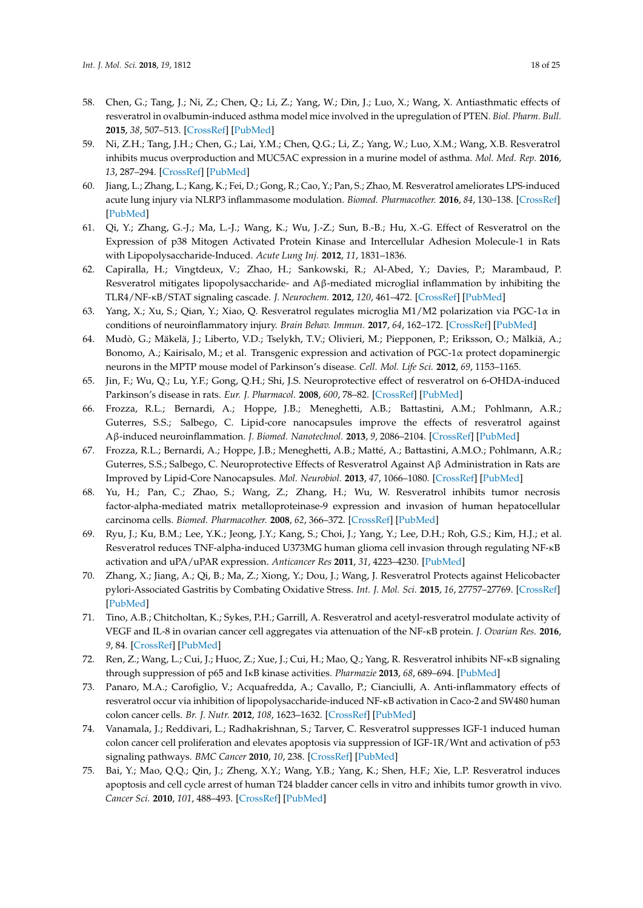- <span id="page-17-0"></span>58. Chen, G.; Tang, J.; Ni, Z.; Chen, Q.; Li, Z.; Yang, W.; Din, J.; Luo, X.; Wang, X. Antiasthmatic effects of resveratrol in ovalbumin-induced asthma model mice involved in the upregulation of PTEN. *Biol. Pharm. Bull.* **2015**, *38*, 507–513. [\[CrossRef\]](http://dx.doi.org/10.1248/bpb.b14-00610) [\[PubMed\]](http://www.ncbi.nlm.nih.gov/pubmed/25739523)
- <span id="page-17-1"></span>59. Ni, Z.H.; Tang, J.H.; Chen, G.; Lai, Y.M.; Chen, Q.G.; Li, Z.; Yang, W.; Luo, X.M.; Wang, X.B. Resveratrol inhibits mucus overproduction and MUC5AC expression in a murine model of asthma. *Mol. Med. Rep.* **2016**, *13*, 287–294. [\[CrossRef\]](http://dx.doi.org/10.3892/mmr.2015.4520) [\[PubMed\]](http://www.ncbi.nlm.nih.gov/pubmed/26549244)
- <span id="page-17-2"></span>60. Jiang, L.; Zhang, L.; Kang, K.; Fei, D.; Gong, R.; Cao, Y.; Pan, S.; Zhao, M. Resveratrol ameliorates LPS-induced acute lung injury via NLRP3 inflammasome modulation. *Biomed. Pharmacother.* **2016**, *84*, 130–138. [\[CrossRef\]](http://dx.doi.org/10.1016/j.biopha.2016.09.020) [\[PubMed\]](http://www.ncbi.nlm.nih.gov/pubmed/27643555)
- <span id="page-17-3"></span>61. Qi, Y.; Zhang, G.-J.; Ma, L.-J.; Wang, K.; Wu, J.-Z.; Sun, B.-B.; Hu, X.-G. Effect of Resveratrol on the Expression of p38 Mitogen Activated Protein Kinase and Intercellular Adhesion Molecule-1 in Rats with Lipopolysaccharide-Induced. *Acute Lung Inj.* **2012**, *11*, 1831–1836.
- <span id="page-17-4"></span>62. Capiralla, H.; Vingtdeux, V.; Zhao, H.; Sankowski, R.; Al-Abed, Y.; Davies, P.; Marambaud, P. Resveratrol mitigates lipopolysaccharide- and Aβ-mediated microglial inflammation by inhibiting the TLR4/NF-κB/STAT signaling cascade. *J. Neurochem.* **2012**, *120*, 461–472. [\[CrossRef\]](http://dx.doi.org/10.1111/j.1471-4159.2011.07594.x) [\[PubMed\]](http://www.ncbi.nlm.nih.gov/pubmed/22118570)
- <span id="page-17-5"></span>63. Yang, X.; Xu, S.; Qian, Y.; Xiao, Q. Resveratrol regulates microglia M1/M2 polarization via PGC-1α in conditions of neuroinflammatory injury. *Brain Behav. Immun.* **2017**, *64*, 162–172. [\[CrossRef\]](http://dx.doi.org/10.1016/j.bbi.2017.03.003) [\[PubMed\]](http://www.ncbi.nlm.nih.gov/pubmed/28268115)
- <span id="page-17-6"></span>64. Mudò, G.; Mäkelä, J.; Liberto, V.D.; Tselykh, T.V.; Olivieri, M.; Piepponen, P.; Eriksson, O.; Mälkiä, A.; Bonomo, A.; Kairisalo, M.; et al. Transgenic expression and activation of PGC-1α protect dopaminergic neurons in the MPTP mouse model of Parkinson's disease. *Cell. Mol. Life Sci.* **2012**, *69*, 1153–1165.
- <span id="page-17-7"></span>65. Jin, F.; Wu, Q.; Lu, Y.F.; Gong, Q.H.; Shi, J.S. Neuroprotective effect of resveratrol on 6-OHDA-induced Parkinson's disease in rats. *Eur. J. Pharmacol.* **2008**, *600*, 78–82. [\[CrossRef\]](http://dx.doi.org/10.1016/j.ejphar.2008.10.005) [\[PubMed\]](http://www.ncbi.nlm.nih.gov/pubmed/18940189)
- <span id="page-17-8"></span>66. Frozza, R.L.; Bernardi, A.; Hoppe, J.B.; Meneghetti, A.B.; Battastini, A.M.; Pohlmann, A.R.; Guterres, S.S.; Salbego, C. Lipid-core nanocapsules improve the effects of resveratrol against Aβ-induced neuroinflammation. *J. Biomed. Nanotechnol.* **2013**, *9*, 2086–2104. [\[CrossRef\]](http://dx.doi.org/10.1166/jbn.2013.1709) [\[PubMed\]](http://www.ncbi.nlm.nih.gov/pubmed/24266263)
- <span id="page-17-9"></span>67. Frozza, R.L.; Bernardi, A.; Hoppe, J.B.; Meneghetti, A.B.; Matté, A.; Battastini, A.M.O.; Pohlmann, A.R.; Guterres, S.S.; Salbego, C. Neuroprotective Effects of Resveratrol Against Aβ Administration in Rats are Improved by Lipid-Core Nanocapsules. *Mol. Neurobiol.* **2013**, *47*, 1066–1080. [\[CrossRef\]](http://dx.doi.org/10.1007/s12035-013-8401-2) [\[PubMed\]](http://www.ncbi.nlm.nih.gov/pubmed/23315270)
- <span id="page-17-10"></span>68. Yu, H.; Pan, C.; Zhao, S.; Wang, Z.; Zhang, H.; Wu, W. Resveratrol inhibits tumor necrosis factor-alpha-mediated matrix metalloproteinase-9 expression and invasion of human hepatocellular carcinoma cells. *Biomed. Pharmacother.* **2008**, *62*, 366–372. [\[CrossRef\]](http://dx.doi.org/10.1016/j.biopha.2007.09.006) [\[PubMed\]](http://www.ncbi.nlm.nih.gov/pubmed/17988825)
- <span id="page-17-11"></span>69. Ryu, J.; Ku, B.M.; Lee, Y.K.; Jeong, J.Y.; Kang, S.; Choi, J.; Yang, Y.; Lee, D.H.; Roh, G.S.; Kim, H.J.; et al. Resveratrol reduces TNF-alpha-induced U373MG human glioma cell invasion through regulating NF-κB activation and uPA/uPAR expression. *Anticancer Res* **2011**, *31*, 4223–4230. [\[PubMed\]](http://www.ncbi.nlm.nih.gov/pubmed/22199285)
- <span id="page-17-12"></span>70. Zhang, X.; Jiang, A.; Qi, B.; Ma, Z.; Xiong, Y.; Dou, J.; Wang, J. Resveratrol Protects against Helicobacter pylori-Associated Gastritis by Combating Oxidative Stress. *Int. J. Mol. Sci.* **2015**, *16*, 27757–27769. [\[CrossRef\]](http://dx.doi.org/10.3390/ijms161126061) [\[PubMed\]](http://www.ncbi.nlm.nih.gov/pubmed/26610474)
- <span id="page-17-13"></span>71. Tino, A.B.; Chitcholtan, K.; Sykes, P.H.; Garrill, A. Resveratrol and acetyl-resveratrol modulate activity of VEGF and IL-8 in ovarian cancer cell aggregates via attenuation of the NF-κB protein. *J. Ovarian Res.* **2016**, *9*, 84. [\[CrossRef\]](http://dx.doi.org/10.1186/s13048-016-0293-0) [\[PubMed\]](http://www.ncbi.nlm.nih.gov/pubmed/27906095)
- <span id="page-17-14"></span>72. Ren, Z.; Wang, L.; Cui, J.; Huoc, Z.; Xue, J.; Cui, H.; Mao, Q.; Yang, R. Resveratrol inhibits NF-κB signaling through suppression of p65 and IκB kinase activities. *Pharmazie* **2013**, *68*, 689–694. [\[PubMed\]](http://www.ncbi.nlm.nih.gov/pubmed/24020126)
- <span id="page-17-15"></span>73. Panaro, M.A.; Carofiglio, V.; Acquafredda, A.; Cavallo, P.; Cianciulli, A. Anti-inflammatory effects of resveratrol occur via inhibition of lipopolysaccharide-induced NF-κB activation in Caco-2 and SW480 human colon cancer cells. *Br. J. Nutr.* **2012**, *108*, 1623–1632. [\[CrossRef\]](http://dx.doi.org/10.1017/S0007114511007227) [\[PubMed\]](http://www.ncbi.nlm.nih.gov/pubmed/22251620)
- <span id="page-17-16"></span>74. Vanamala, J.; Reddivari, L.; Radhakrishnan, S.; Tarver, C. Resveratrol suppresses IGF-1 induced human colon cancer cell proliferation and elevates apoptosis via suppression of IGF-1R/Wnt and activation of p53 signaling pathways. *BMC Cancer* **2010**, *10*, 238. [\[CrossRef\]](http://dx.doi.org/10.1186/1471-2407-10-238) [\[PubMed\]](http://www.ncbi.nlm.nih.gov/pubmed/20504360)
- <span id="page-17-17"></span>75. Bai, Y.; Mao, Q.Q.; Qin, J.; Zheng, X.Y.; Wang, Y.B.; Yang, K.; Shen, H.F.; Xie, L.P. Resveratrol induces apoptosis and cell cycle arrest of human T24 bladder cancer cells in vitro and inhibits tumor growth in vivo. *Cancer Sci.* **2010**, *101*, 488–493. [\[CrossRef\]](http://dx.doi.org/10.1111/j.1349-7006.2009.01415.x) [\[PubMed\]](http://www.ncbi.nlm.nih.gov/pubmed/20028382)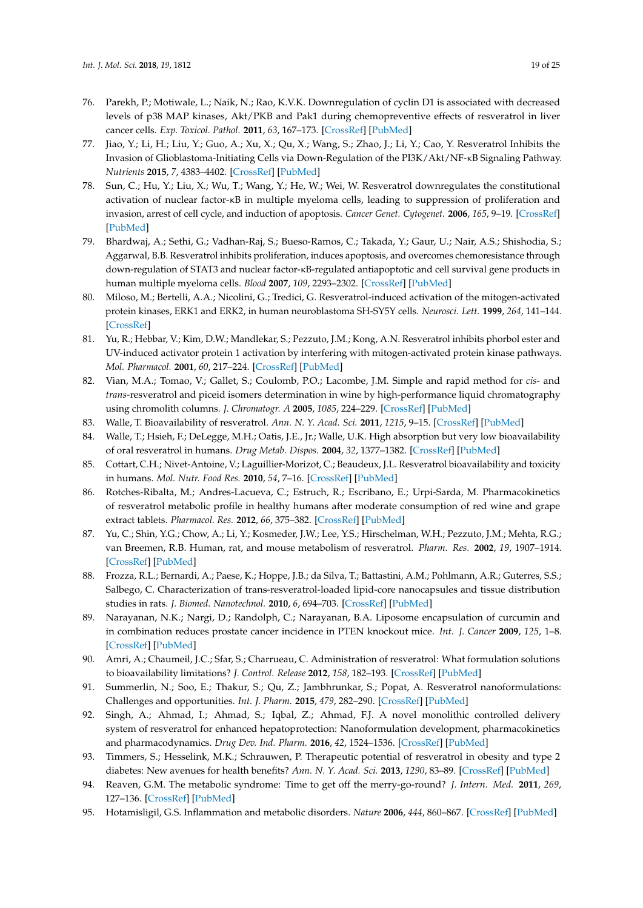- <span id="page-18-0"></span>76. Parekh, P.; Motiwale, L.; Naik, N.; Rao, K.V.K. Downregulation of cyclin D1 is associated with decreased levels of p38 MAP kinases, Akt/PKB and Pak1 during chemopreventive effects of resveratrol in liver cancer cells. *Exp. Toxicol. Pathol.* **2011**, *63*, 167–173. [\[CrossRef\]](http://dx.doi.org/10.1016/j.etp.2009.11.005) [\[PubMed\]](http://www.ncbi.nlm.nih.gov/pubmed/20133117)
- <span id="page-18-1"></span>77. Jiao, Y.; Li, H.; Liu, Y.; Guo, A.; Xu, X.; Qu, X.; Wang, S.; Zhao, J.; Li, Y.; Cao, Y. Resveratrol Inhibits the Invasion of Glioblastoma-Initiating Cells via Down-Regulation of the PI3K/Akt/NF-κB Signaling Pathway. *Nutrients* **2015**, *7*, 4383–4402. [\[CrossRef\]](http://dx.doi.org/10.3390/nu7064383) [\[PubMed\]](http://www.ncbi.nlm.nih.gov/pubmed/26043036)
- <span id="page-18-2"></span>78. Sun, C.; Hu, Y.; Liu, X.; Wu, T.; Wang, Y.; He, W.; Wei, W. Resveratrol downregulates the constitutional activation of nuclear factor-κB in multiple myeloma cells, leading to suppression of proliferation and invasion, arrest of cell cycle, and induction of apoptosis. *Cancer Genet. Cytogenet.* **2006**, *165*, 9–19. [\[CrossRef\]](http://dx.doi.org/10.1016/j.cancergencyto.2005.06.016) [\[PubMed\]](http://www.ncbi.nlm.nih.gov/pubmed/16490592)
- <span id="page-18-3"></span>79. Bhardwaj, A.; Sethi, G.; Vadhan-Raj, S.; Bueso-Ramos, C.; Takada, Y.; Gaur, U.; Nair, A.S.; Shishodia, S.; Aggarwal, B.B. Resveratrol inhibits proliferation, induces apoptosis, and overcomes chemoresistance through down-regulation of STAT3 and nuclear factor-κB-regulated antiapoptotic and cell survival gene products in human multiple myeloma cells. *Blood* **2007**, *109*, 2293–2302. [\[CrossRef\]](http://dx.doi.org/10.1182/blood-2006-02-003988) [\[PubMed\]](http://www.ncbi.nlm.nih.gov/pubmed/17164350)
- <span id="page-18-4"></span>80. Miloso, M.; Bertelli, A.A.; Nicolini, G.; Tredici, G. Resveratrol-induced activation of the mitogen-activated protein kinases, ERK1 and ERK2, in human neuroblastoma SH-SY5Y cells. *Neurosci. Lett.* **1999**, *264*, 141–144. [\[CrossRef\]](http://dx.doi.org/10.1016/S0304-3940(99)00194-9)
- <span id="page-18-5"></span>81. Yu, R.; Hebbar, V.; Kim, D.W.; Mandlekar, S.; Pezzuto, J.M.; Kong, A.N. Resveratrol inhibits phorbol ester and UV-induced activator protein 1 activation by interfering with mitogen-activated protein kinase pathways. *Mol. Pharmacol.* **2001**, *60*, 217–224. [\[CrossRef\]](http://dx.doi.org/10.1124/mol.60.1.217) [\[PubMed\]](http://www.ncbi.nlm.nih.gov/pubmed/11408617)
- <span id="page-18-6"></span>82. Vian, M.A.; Tomao, V.; Gallet, S.; Coulomb, P.O.; Lacombe, J.M. Simple and rapid method for *cis*- and *trans*-resveratrol and piceid isomers determination in wine by high-performance liquid chromatography using chromolith columns. *J. Chromatogr. A* **2005**, *1085*, 224–229. [\[CrossRef\]](http://dx.doi.org/10.1016/j.chroma.2005.05.083) [\[PubMed\]](http://www.ncbi.nlm.nih.gov/pubmed/16106702)
- <span id="page-18-7"></span>83. Walle, T. Bioavailability of resveratrol. *Ann. N. Y. Acad. Sci.* **2011**, *1215*, 9–15. [\[CrossRef\]](http://dx.doi.org/10.1111/j.1749-6632.2010.05842.x) [\[PubMed\]](http://www.ncbi.nlm.nih.gov/pubmed/21261636)
- <span id="page-18-8"></span>84. Walle, T.; Hsieh, F.; DeLegge, M.H.; Oatis, J.E., Jr.; Walle, U.K. High absorption but very low bioavailability of oral resveratrol in humans. *Drug Metab. Dispos.* **2004**, *32*, 1377–1382. [\[CrossRef\]](http://dx.doi.org/10.1124/dmd.104.000885) [\[PubMed\]](http://www.ncbi.nlm.nih.gov/pubmed/15333514)
- <span id="page-18-9"></span>85. Cottart, C.H.; Nivet-Antoine, V.; Laguillier-Morizot, C.; Beaudeux, J.L. Resveratrol bioavailability and toxicity in humans. *Mol. Nutr. Food Res.* **2010**, *54*, 7–16. [\[CrossRef\]](http://dx.doi.org/10.1002/mnfr.200900437) [\[PubMed\]](http://www.ncbi.nlm.nih.gov/pubmed/20013887)
- 86. Rotches-Ribalta, M.; Andres-Lacueva, C.; Estruch, R.; Escribano, E.; Urpi-Sarda, M. Pharmacokinetics of resveratrol metabolic profile in healthy humans after moderate consumption of red wine and grape extract tablets. *Pharmacol. Res.* **2012**, *66*, 375–382. [\[CrossRef\]](http://dx.doi.org/10.1016/j.phrs.2012.08.001) [\[PubMed\]](http://www.ncbi.nlm.nih.gov/pubmed/22906730)
- <span id="page-18-10"></span>87. Yu, C.; Shin, Y.G.; Chow, A.; Li, Y.; Kosmeder, J.W.; Lee, Y.S.; Hirschelman, W.H.; Pezzuto, J.M.; Mehta, R.G.; van Breemen, R.B. Human, rat, and mouse metabolism of resveratrol. *Pharm. Res.* **2002**, *19*, 1907–1914. [\[CrossRef\]](http://dx.doi.org/10.1023/A:1021414129280) [\[PubMed\]](http://www.ncbi.nlm.nih.gov/pubmed/12523673)
- <span id="page-18-11"></span>88. Frozza, R.L.; Bernardi, A.; Paese, K.; Hoppe, J.B.; da Silva, T.; Battastini, A.M.; Pohlmann, A.R.; Guterres, S.S.; Salbego, C. Characterization of trans-resveratrol-loaded lipid-core nanocapsules and tissue distribution studies in rats. *J. Biomed. Nanotechnol.* **2010**, *6*, 694–703. [\[CrossRef\]](http://dx.doi.org/10.1166/jbn.2010.1161) [\[PubMed\]](http://www.ncbi.nlm.nih.gov/pubmed/21361135)
- 89. Narayanan, N.K.; Nargi, D.; Randolph, C.; Narayanan, B.A. Liposome encapsulation of curcumin and in combination reduces prostate cancer incidence in PTEN knockout mice. *Int. J. Cancer* **2009**, *125*, 1–8. [\[CrossRef\]](http://dx.doi.org/10.1002/ijc.24336) [\[PubMed\]](http://www.ncbi.nlm.nih.gov/pubmed/19326431)
- 90. Amri, A.; Chaumeil, J.C.; Sfar, S.; Charrueau, C. Administration of resveratrol: What formulation solutions to bioavailability limitations? *J. Control. Release* **2012**, *158*, 182–193. [\[CrossRef\]](http://dx.doi.org/10.1016/j.jconrel.2011.09.083) [\[PubMed\]](http://www.ncbi.nlm.nih.gov/pubmed/21978644)
- 91. Summerlin, N.; Soo, E.; Thakur, S.; Qu, Z.; Jambhrunkar, S.; Popat, A. Resveratrol nanoformulations: Challenges and opportunities. *Int. J. Pharm.* **2015**, *479*, 282–290. [\[CrossRef\]](http://dx.doi.org/10.1016/j.ijpharm.2015.01.003) [\[PubMed\]](http://www.ncbi.nlm.nih.gov/pubmed/25572692)
- <span id="page-18-12"></span>92. Singh, A.; Ahmad, I.; Ahmad, S.; Iqbal, Z.; Ahmad, F.J. A novel monolithic controlled delivery system of resveratrol for enhanced hepatoprotection: Nanoformulation development, pharmacokinetics and pharmacodynamics. *Drug Dev. Ind. Pharm.* **2016**, *42*, 1524–1536. [\[CrossRef\]](http://dx.doi.org/10.3109/03639045.2016.1151032) [\[PubMed\]](http://www.ncbi.nlm.nih.gov/pubmed/26902951)
- <span id="page-18-13"></span>93. Timmers, S.; Hesselink, M.K.; Schrauwen, P. Therapeutic potential of resveratrol in obesity and type 2 diabetes: New avenues for health benefits? *Ann. N. Y. Acad. Sci.* **2013**, *1290*, 83–89. [\[CrossRef\]](http://dx.doi.org/10.1111/nyas.12185) [\[PubMed\]](http://www.ncbi.nlm.nih.gov/pubmed/23855469)
- <span id="page-18-14"></span>94. Reaven, G.M. The metabolic syndrome: Time to get off the merry-go-round? *J. Intern. Med.* **2011**, *269*, 127–136. [\[CrossRef\]](http://dx.doi.org/10.1111/j.1365-2796.2010.02325.x) [\[PubMed\]](http://www.ncbi.nlm.nih.gov/pubmed/21129047)
- 95. Hotamisligil, G.S. Inflammation and metabolic disorders. *Nature* **2006**, *444*, 860–867. [\[CrossRef\]](http://dx.doi.org/10.1038/nature05485) [\[PubMed\]](http://www.ncbi.nlm.nih.gov/pubmed/17167474)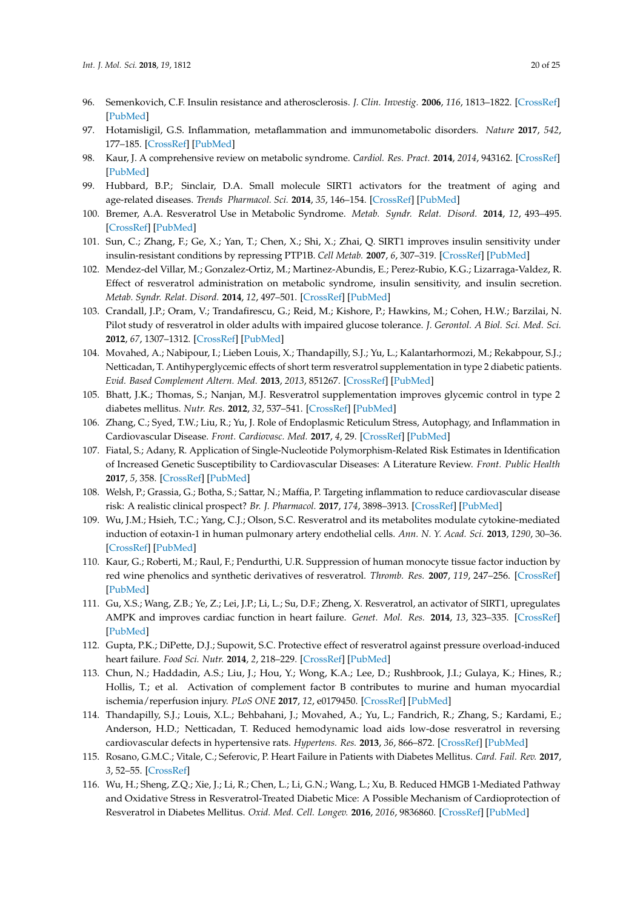- 96. Semenkovich, C.F. Insulin resistance and atherosclerosis. *J. Clin. Investig.* **2006**, *116*, 1813–1822. [\[CrossRef\]](http://dx.doi.org/10.1172/JCI29024) [\[PubMed\]](http://www.ncbi.nlm.nih.gov/pubmed/16823479)
- <span id="page-19-0"></span>97. Hotamisligil, G.S. Inflammation, metaflammation and immunometabolic disorders. *Nature* **2017**, *542*, 177–185. [\[CrossRef\]](http://dx.doi.org/10.1038/nature21363) [\[PubMed\]](http://www.ncbi.nlm.nih.gov/pubmed/28179656)
- <span id="page-19-1"></span>98. Kaur, J. A comprehensive review on metabolic syndrome. *Cardiol. Res. Pract.* **2014**, *2014*, 943162. [\[CrossRef\]](http://dx.doi.org/10.1155/2014/943162) [\[PubMed\]](http://www.ncbi.nlm.nih.gov/pubmed/24711954)
- <span id="page-19-2"></span>99. Hubbard, B.P.; Sinclair, D.A. Small molecule SIRT1 activators for the treatment of aging and age-related diseases. *Trends Pharmacol. Sci.* **2014**, *35*, 146–154. [\[CrossRef\]](http://dx.doi.org/10.1016/j.tips.2013.12.004) [\[PubMed\]](http://www.ncbi.nlm.nih.gov/pubmed/24439680)
- <span id="page-19-3"></span>100. Bremer, A.A. Resveratrol Use in Metabolic Syndrome. *Metab. Syndr. Relat. Disord.* **2014**, *12*, 493–495. [\[CrossRef\]](http://dx.doi.org/10.1089/met.2014.1505) [\[PubMed\]](http://www.ncbi.nlm.nih.gov/pubmed/25229675)
- <span id="page-19-4"></span>101. Sun, C.; Zhang, F.; Ge, X.; Yan, T.; Chen, X.; Shi, X.; Zhai, Q. SIRT1 improves insulin sensitivity under insulin-resistant conditions by repressing PTP1B. *Cell Metab.* **2007**, *6*, 307–319. [\[CrossRef\]](http://dx.doi.org/10.1016/j.cmet.2007.08.014) [\[PubMed\]](http://www.ncbi.nlm.nih.gov/pubmed/17908559)
- <span id="page-19-5"></span>102. Mendez-del Villar, M.; Gonzalez-Ortiz, M.; Martinez-Abundis, E.; Perez-Rubio, K.G.; Lizarraga-Valdez, R. Effect of resveratrol administration on metabolic syndrome, insulin sensitivity, and insulin secretion. *Metab. Syndr. Relat. Disord.* **2014**, *12*, 497–501. [\[CrossRef\]](http://dx.doi.org/10.1089/met.2014.0082) [\[PubMed\]](http://www.ncbi.nlm.nih.gov/pubmed/25137036)
- <span id="page-19-6"></span>103. Crandall, J.P.; Oram, V.; Trandafirescu, G.; Reid, M.; Kishore, P.; Hawkins, M.; Cohen, H.W.; Barzilai, N. Pilot study of resveratrol in older adults with impaired glucose tolerance. *J. Gerontol. A Biol. Sci. Med. Sci.* **2012**, *67*, 1307–1312. [\[CrossRef\]](http://dx.doi.org/10.1093/gerona/glr235) [\[PubMed\]](http://www.ncbi.nlm.nih.gov/pubmed/22219517)
- <span id="page-19-7"></span>104. Movahed, A.; Nabipour, I.; Lieben Louis, X.; Thandapilly, S.J.; Yu, L.; Kalantarhormozi, M.; Rekabpour, S.J.; Netticadan, T. Antihyperglycemic effects of short term resveratrol supplementation in type 2 diabetic patients. *Evid. Based Complement Altern. Med.* **2013**, *2013*, 851267. [\[CrossRef\]](http://dx.doi.org/10.1155/2013/851267) [\[PubMed\]](http://www.ncbi.nlm.nih.gov/pubmed/24073011)
- <span id="page-19-8"></span>105. Bhatt, J.K.; Thomas, S.; Nanjan, M.J. Resveratrol supplementation improves glycemic control in type 2 diabetes mellitus. *Nutr. Res.* **2012**, *32*, 537–541. [\[CrossRef\]](http://dx.doi.org/10.1016/j.nutres.2012.06.003) [\[PubMed\]](http://www.ncbi.nlm.nih.gov/pubmed/22901562)
- <span id="page-19-9"></span>106. Zhang, C.; Syed, T.W.; Liu, R.; Yu, J. Role of Endoplasmic Reticulum Stress, Autophagy, and Inflammation in Cardiovascular Disease. *Front. Cardiovasc. Med.* **2017**, *4*, 29. [\[CrossRef\]](http://dx.doi.org/10.3389/fcvm.2017.00029) [\[PubMed\]](http://www.ncbi.nlm.nih.gov/pubmed/28553639)
- <span id="page-19-10"></span>107. Fiatal, S.; Adany, R. Application of Single-Nucleotide Polymorphism-Related Risk Estimates in Identification of Increased Genetic Susceptibility to Cardiovascular Diseases: A Literature Review. *Front. Public Health* **2017**, *5*, 358. [\[CrossRef\]](http://dx.doi.org/10.3389/fpubh.2017.00358) [\[PubMed\]](http://www.ncbi.nlm.nih.gov/pubmed/29445720)
- <span id="page-19-11"></span>108. Welsh, P.; Grassia, G.; Botha, S.; Sattar, N.; Maffia, P. Targeting inflammation to reduce cardiovascular disease risk: A realistic clinical prospect? *Br. J. Pharmacol.* **2017**, *174*, 3898–3913. [\[CrossRef\]](http://dx.doi.org/10.1111/bph.13818) [\[PubMed\]](http://www.ncbi.nlm.nih.gov/pubmed/28409825)
- <span id="page-19-12"></span>109. Wu, J.M.; Hsieh, T.C.; Yang, C.J.; Olson, S.C. Resveratrol and its metabolites modulate cytokine-mediated induction of eotaxin-1 in human pulmonary artery endothelial cells. *Ann. N. Y. Acad. Sci.* **2013**, *1290*, 30–36. [\[CrossRef\]](http://dx.doi.org/10.1111/nyas.12151) [\[PubMed\]](http://www.ncbi.nlm.nih.gov/pubmed/23855463)
- <span id="page-19-13"></span>110. Kaur, G.; Roberti, M.; Raul, F.; Pendurthi, U.R. Suppression of human monocyte tissue factor induction by red wine phenolics and synthetic derivatives of resveratrol. *Thromb. Res.* **2007**, *119*, 247–256. [\[CrossRef\]](http://dx.doi.org/10.1016/j.thromres.2006.01.020) [\[PubMed\]](http://www.ncbi.nlm.nih.gov/pubmed/16507316)
- <span id="page-19-14"></span>111. Gu, X.S.; Wang, Z.B.; Ye, Z.; Lei, J.P.; Li, L.; Su, D.F.; Zheng, X. Resveratrol, an activator of SIRT1, upregulates AMPK and improves cardiac function in heart failure. *Genet. Mol. Res.* **2014**, *13*, 323–335. [\[CrossRef\]](http://dx.doi.org/10.4238/2014.January.17.17) [\[PubMed\]](http://www.ncbi.nlm.nih.gov/pubmed/24535859)
- <span id="page-19-15"></span>112. Gupta, P.K.; DiPette, D.J.; Supowit, S.C. Protective effect of resveratrol against pressure overload-induced heart failure. *Food Sci. Nutr.* **2014**, *2*, 218–229. [\[CrossRef\]](http://dx.doi.org/10.1002/fsn3.92) [\[PubMed\]](http://www.ncbi.nlm.nih.gov/pubmed/24936291)
- <span id="page-19-16"></span>113. Chun, N.; Haddadin, A.S.; Liu, J.; Hou, Y.; Wong, K.A.; Lee, D.; Rushbrook, J.I.; Gulaya, K.; Hines, R.; Hollis, T.; et al. Activation of complement factor B contributes to murine and human myocardial ischemia/reperfusion injury. *PLoS ONE* **2017**, *12*, e0179450. [\[CrossRef\]](http://dx.doi.org/10.1371/journal.pone.0179450) [\[PubMed\]](http://www.ncbi.nlm.nih.gov/pubmed/28662037)
- <span id="page-19-17"></span>114. Thandapilly, S.J.; Louis, X.L.; Behbahani, J.; Movahed, A.; Yu, L.; Fandrich, R.; Zhang, S.; Kardami, E.; Anderson, H.D.; Netticadan, T. Reduced hemodynamic load aids low-dose resveratrol in reversing cardiovascular defects in hypertensive rats. *Hypertens. Res.* **2013**, *36*, 866–872. [\[CrossRef\]](http://dx.doi.org/10.1038/hr.2013.55) [\[PubMed\]](http://www.ncbi.nlm.nih.gov/pubmed/23784505)
- <span id="page-19-18"></span>115. Rosano, G.M.C.; Vitale, C.; Seferovic, P. Heart Failure in Patients with Diabetes Mellitus. *Card. Fail. Rev.* **2017**, *3*, 52–55. [\[CrossRef\]](http://dx.doi.org/10.15420/cfr.2016:20:2)
- <span id="page-19-19"></span>116. Wu, H.; Sheng, Z.Q.; Xie, J.; Li, R.; Chen, L.; Li, G.N.; Wang, L.; Xu, B. Reduced HMGB 1-Mediated Pathway and Oxidative Stress in Resveratrol-Treated Diabetic Mice: A Possible Mechanism of Cardioprotection of Resveratrol in Diabetes Mellitus. *Oxid. Med. Cell. Longev.* **2016**, *2016*, 9836860. [\[CrossRef\]](http://dx.doi.org/10.1155/2016/9836860) [\[PubMed\]](http://www.ncbi.nlm.nih.gov/pubmed/27833703)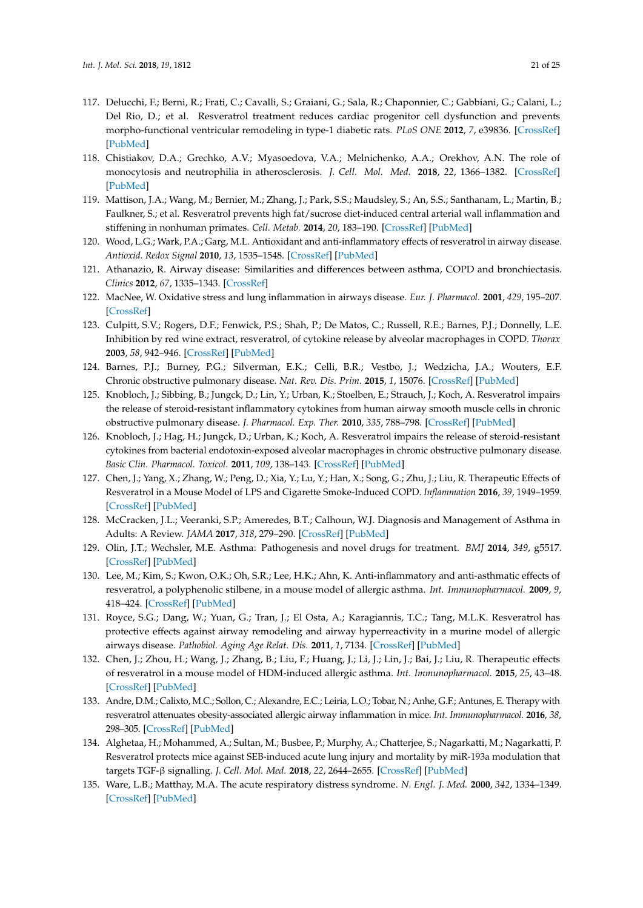- <span id="page-20-0"></span>117. Delucchi, F.; Berni, R.; Frati, C.; Cavalli, S.; Graiani, G.; Sala, R.; Chaponnier, C.; Gabbiani, G.; Calani, L.; Del Rio, D.; et al. Resveratrol treatment reduces cardiac progenitor cell dysfunction and prevents morpho-functional ventricular remodeling in type-1 diabetic rats. *PLoS ONE* **2012**, *7*, e39836. [\[CrossRef\]](http://dx.doi.org/10.1371/journal.pone.0039836) [\[PubMed\]](http://www.ncbi.nlm.nih.gov/pubmed/22768138)
- <span id="page-20-1"></span>118. Chistiakov, D.A.; Grechko, A.V.; Myasoedova, V.A.; Melnichenko, A.A.; Orekhov, A.N. The role of monocytosis and neutrophilia in atherosclerosis. *J. Cell. Mol. Med.* **2018**, *22*, 1366–1382. [\[CrossRef\]](http://dx.doi.org/10.1111/jcmm.13462) [\[PubMed\]](http://www.ncbi.nlm.nih.gov/pubmed/29364567)
- <span id="page-20-2"></span>119. Mattison, J.A.; Wang, M.; Bernier, M.; Zhang, J.; Park, S.S.; Maudsley, S.; An, S.S.; Santhanam, L.; Martin, B.; Faulkner, S.; et al. Resveratrol prevents high fat/sucrose diet-induced central arterial wall inflammation and stiffening in nonhuman primates. *Cell. Metab.* **2014**, *20*, 183–190. [\[CrossRef\]](http://dx.doi.org/10.1016/j.cmet.2014.04.018) [\[PubMed\]](http://www.ncbi.nlm.nih.gov/pubmed/24882067)
- <span id="page-20-3"></span>120. Wood, L.G.; Wark, P.A.; Garg, M.L. Antioxidant and anti-inflammatory effects of resveratrol in airway disease. *Antioxid. Redox Signal* **2010**, *13*, 1535–1548. [\[CrossRef\]](http://dx.doi.org/10.1089/ars.2009.3064) [\[PubMed\]](http://www.ncbi.nlm.nih.gov/pubmed/20214495)
- <span id="page-20-4"></span>121. Athanazio, R. Airway disease: Similarities and differences between asthma, COPD and bronchiectasis. *Clinics* **2012**, *67*, 1335–1343. [\[CrossRef\]](http://dx.doi.org/10.6061/clinics/2012(11)19)
- <span id="page-20-5"></span>122. MacNee, W. Oxidative stress and lung inflammation in airways disease. *Eur. J. Pharmacol.* **2001**, *429*, 195–207. [\[CrossRef\]](http://dx.doi.org/10.1016/S0014-2999(01)01320-6)
- <span id="page-20-6"></span>123. Culpitt, S.V.; Rogers, D.F.; Fenwick, P.S.; Shah, P.; De Matos, C.; Russell, R.E.; Barnes, P.J.; Donnelly, L.E. Inhibition by red wine extract, resveratrol, of cytokine release by alveolar macrophages in COPD. *Thorax* **2003**, *58*, 942–946. [\[CrossRef\]](http://dx.doi.org/10.1136/thorax.58.11.942) [\[PubMed\]](http://www.ncbi.nlm.nih.gov/pubmed/14586044)
- <span id="page-20-7"></span>124. Barnes, P.J.; Burney, P.G.; Silverman, E.K.; Celli, B.R.; Vestbo, J.; Wedzicha, J.A.; Wouters, E.F. Chronic obstructive pulmonary disease. *Nat. Rev. Dis. Prim.* **2015**, *1*, 15076. [\[CrossRef\]](http://dx.doi.org/10.1038/nrdp.2015.76) [\[PubMed\]](http://www.ncbi.nlm.nih.gov/pubmed/27189863)
- <span id="page-20-8"></span>125. Knobloch, J.; Sibbing, B.; Jungck, D.; Lin, Y.; Urban, K.; Stoelben, E.; Strauch, J.; Koch, A. Resveratrol impairs the release of steroid-resistant inflammatory cytokines from human airway smooth muscle cells in chronic obstructive pulmonary disease. *J. Pharmacol. Exp. Ther.* **2010**, *335*, 788–798. [\[CrossRef\]](http://dx.doi.org/10.1124/jpet.110.166843) [\[PubMed\]](http://www.ncbi.nlm.nih.gov/pubmed/20801891)
- <span id="page-20-9"></span>126. Knobloch, J.; Hag, H.; Jungck, D.; Urban, K.; Koch, A. Resveratrol impairs the release of steroid-resistant cytokines from bacterial endotoxin-exposed alveolar macrophages in chronic obstructive pulmonary disease. *Basic Clin. Pharmacol. Toxicol.* **2011**, *109*, 138–143. [\[CrossRef\]](http://dx.doi.org/10.1111/j.1742-7843.2011.00707.x) [\[PubMed\]](http://www.ncbi.nlm.nih.gov/pubmed/21447053)
- <span id="page-20-10"></span>127. Chen, J.; Yang, X.; Zhang, W.; Peng, D.; Xia, Y.; Lu, Y.; Han, X.; Song, G.; Zhu, J.; Liu, R. Therapeutic Effects of Resveratrol in a Mouse Model of LPS and Cigarette Smoke-Induced COPD. *Inflammation* **2016**, *39*, 1949–1959. [\[CrossRef\]](http://dx.doi.org/10.1007/s10753-016-0430-3) [\[PubMed\]](http://www.ncbi.nlm.nih.gov/pubmed/27590234)
- <span id="page-20-11"></span>128. McCracken, J.L.; Veeranki, S.P.; Ameredes, B.T.; Calhoun, W.J. Diagnosis and Management of Asthma in Adults: A Review. *JAMA* **2017**, *318*, 279–290. [\[CrossRef\]](http://dx.doi.org/10.1001/jama.2017.8372) [\[PubMed\]](http://www.ncbi.nlm.nih.gov/pubmed/28719697)
- <span id="page-20-12"></span>129. Olin, J.T.; Wechsler, M.E. Asthma: Pathogenesis and novel drugs for treatment. *BMJ* **2014**, *349*, g5517. [\[CrossRef\]](http://dx.doi.org/10.1136/bmj.g5517) [\[PubMed\]](http://www.ncbi.nlm.nih.gov/pubmed/25420994)
- <span id="page-20-13"></span>130. Lee, M.; Kim, S.; Kwon, O.K.; Oh, S.R.; Lee, H.K.; Ahn, K. Anti-inflammatory and anti-asthmatic effects of resveratrol, a polyphenolic stilbene, in a mouse model of allergic asthma. *Int. Immunopharmacol.* **2009**, *9*, 418–424. [\[CrossRef\]](http://dx.doi.org/10.1016/j.intimp.2009.01.005) [\[PubMed\]](http://www.ncbi.nlm.nih.gov/pubmed/19185061)
- <span id="page-20-14"></span>131. Royce, S.G.; Dang, W.; Yuan, G.; Tran, J.; El Osta, A.; Karagiannis, T.C.; Tang, M.L.K. Resveratrol has protective effects against airway remodeling and airway hyperreactivity in a murine model of allergic airways disease. *Pathobiol. Aging Age Relat. Dis.* **2011**, *1*, 7134. [\[CrossRef\]](http://dx.doi.org/10.3402/PBA.v1i0.7134) [\[PubMed\]](http://www.ncbi.nlm.nih.gov/pubmed/22953028)
- <span id="page-20-15"></span>132. Chen, J.; Zhou, H.; Wang, J.; Zhang, B.; Liu, F.; Huang, J.; Li, J.; Lin, J.; Bai, J.; Liu, R. Therapeutic effects of resveratrol in a mouse model of HDM-induced allergic asthma. *Int. Immunopharmacol.* **2015**, *25*, 43–48. [\[CrossRef\]](http://dx.doi.org/10.1016/j.intimp.2015.01.013) [\[PubMed\]](http://www.ncbi.nlm.nih.gov/pubmed/25617148)
- <span id="page-20-16"></span>133. Andre, D.M.; Calixto, M.C.; Sollon, C.; Alexandre, E.C.; Leiria, L.O.; Tobar, N.; Anhe, G.F.; Antunes, E. Therapy with resveratrol attenuates obesity-associated allergic airway inflammation in mice. *Int. Immunopharmacol.* **2016**, *38*, 298–305. [\[CrossRef\]](http://dx.doi.org/10.1016/j.intimp.2016.06.017) [\[PubMed\]](http://www.ncbi.nlm.nih.gov/pubmed/27344038)
- <span id="page-20-17"></span>134. Alghetaa, H.; Mohammed, A.; Sultan, M.; Busbee, P.; Murphy, A.; Chatterjee, S.; Nagarkatti, M.; Nagarkatti, P. Resveratrol protects mice against SEB-induced acute lung injury and mortality by miR-193a modulation that targets TGF-β signalling. *J. Cell. Mol. Med.* **2018**, *22*, 2644–2655. [\[CrossRef\]](http://dx.doi.org/10.1111/jcmm.13542) [\[PubMed\]](http://www.ncbi.nlm.nih.gov/pubmed/29512867)
- <span id="page-20-18"></span>135. Ware, L.B.; Matthay, M.A. The acute respiratory distress syndrome. *N. Engl. J. Med.* **2000**, *342*, 1334–1349. [\[CrossRef\]](http://dx.doi.org/10.1056/NEJM200005043421806) [\[PubMed\]](http://www.ncbi.nlm.nih.gov/pubmed/10793167)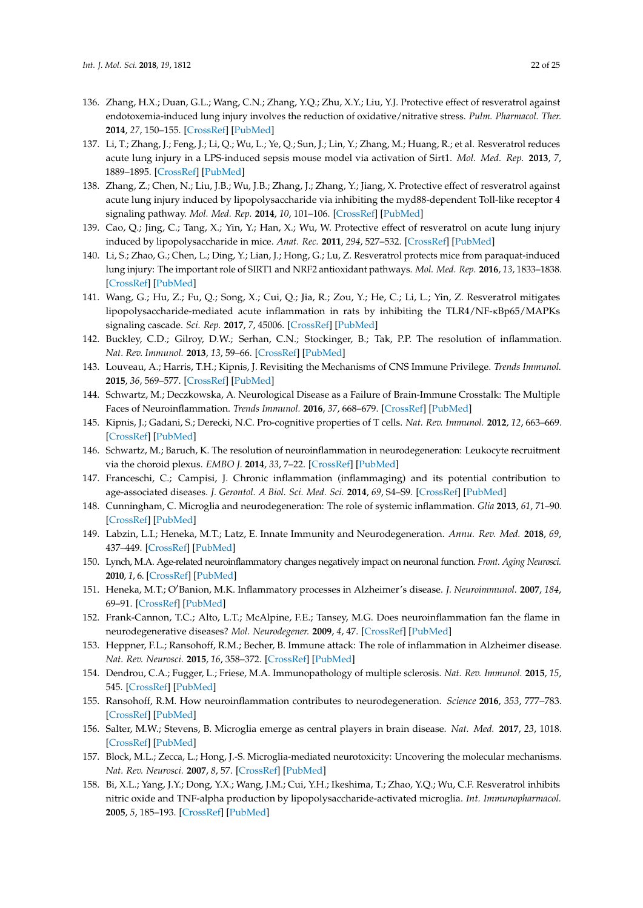- <span id="page-21-0"></span>136. Zhang, H.X.; Duan, G.L.; Wang, C.N.; Zhang, Y.Q.; Zhu, X.Y.; Liu, Y.J. Protective effect of resveratrol against endotoxemia-induced lung injury involves the reduction of oxidative/nitrative stress. *Pulm. Pharmacol. Ther.* **2014**, *27*, 150–155. [\[CrossRef\]](http://dx.doi.org/10.1016/j.pupt.2013.07.007) [\[PubMed\]](http://www.ncbi.nlm.nih.gov/pubmed/23921197)
- <span id="page-21-2"></span>137. Li, T.; Zhang, J.; Feng, J.; Li, Q.; Wu, L.; Ye, Q.; Sun, J.; Lin, Y.; Zhang, M.; Huang, R.; et al. Resveratrol reduces acute lung injury in a LPS-induced sepsis mouse model via activation of Sirt1. *Mol. Med. Rep.* **2013**, *7*, 1889–1895. [\[CrossRef\]](http://dx.doi.org/10.3892/mmr.2013.1444) [\[PubMed\]](http://www.ncbi.nlm.nih.gov/pubmed/23625030)
- <span id="page-21-3"></span>138. Zhang, Z.; Chen, N.; Liu, J.B.; Wu, J.B.; Zhang, J.; Zhang, Y.; Jiang, X. Protective effect of resveratrol against acute lung injury induced by lipopolysaccharide via inhibiting the myd88-dependent Toll-like receptor 4 signaling pathway. *Mol. Med. Rep.* **2014**, *10*, 101–106. [\[CrossRef\]](http://dx.doi.org/10.3892/mmr.2014.2226) [\[PubMed\]](http://www.ncbi.nlm.nih.gov/pubmed/24818579)
- <span id="page-21-1"></span>139. Cao, Q.; Jing, C.; Tang, X.; Yin, Y.; Han, X.; Wu, W. Protective effect of resveratrol on acute lung injury induced by lipopolysaccharide in mice. *Anat. Rec.* **2011**, *294*, 527–532. [\[CrossRef\]](http://dx.doi.org/10.1002/ar.21331) [\[PubMed\]](http://www.ncbi.nlm.nih.gov/pubmed/21284090)
- <span id="page-21-4"></span>140. Li, S.; Zhao, G.; Chen, L.; Ding, Y.; Lian, J.; Hong, G.; Lu, Z. Resveratrol protects mice from paraquat-induced lung injury: The important role of SIRT1 and NRF2 antioxidant pathways. *Mol. Med. Rep.* **2016**, *13*, 1833–1838. [\[CrossRef\]](http://dx.doi.org/10.3892/mmr.2015.4710) [\[PubMed\]](http://www.ncbi.nlm.nih.gov/pubmed/26708779)
- <span id="page-21-5"></span>141. Wang, G.; Hu, Z.; Fu, Q.; Song, X.; Cui, Q.; Jia, R.; Zou, Y.; He, C.; Li, L.; Yin, Z. Resveratrol mitigates lipopolysaccharide-mediated acute inflammation in rats by inhibiting the TLR4/NF-κBp65/MAPKs signaling cascade. *Sci. Rep.* **2017**, *7*, 45006. [\[CrossRef\]](http://dx.doi.org/10.1038/srep45006) [\[PubMed\]](http://www.ncbi.nlm.nih.gov/pubmed/28322346)
- <span id="page-21-6"></span>142. Buckley, C.D.; Gilroy, D.W.; Serhan, C.N.; Stockinger, B.; Tak, P.P. The resolution of inflammation. *Nat. Rev. Immunol.* **2013**, *13*, 59–66. [\[CrossRef\]](http://dx.doi.org/10.1038/nri3362) [\[PubMed\]](http://www.ncbi.nlm.nih.gov/pubmed/23197111)
- <span id="page-21-7"></span>143. Louveau, A.; Harris, T.H.; Kipnis, J. Revisiting the Mechanisms of CNS Immune Privilege. *Trends Immunol.* **2015**, *36*, 569–577. [\[CrossRef\]](http://dx.doi.org/10.1016/j.it.2015.08.006) [\[PubMed\]](http://www.ncbi.nlm.nih.gov/pubmed/26431936)
- <span id="page-21-8"></span>144. Schwartz, M.; Deczkowska, A. Neurological Disease as a Failure of Brain-Immune Crosstalk: The Multiple Faces of Neuroinflammation. *Trends Immunol.* **2016**, *37*, 668–679. [\[CrossRef\]](http://dx.doi.org/10.1016/j.it.2016.08.001) [\[PubMed\]](http://www.ncbi.nlm.nih.gov/pubmed/27616557)
- <span id="page-21-9"></span>145. Kipnis, J.; Gadani, S.; Derecki, N.C. Pro-cognitive properties of T cells. *Nat. Rev. Immunol.* **2012**, *12*, 663–669. [\[CrossRef\]](http://dx.doi.org/10.1038/nri3280) [\[PubMed\]](http://www.ncbi.nlm.nih.gov/pubmed/22903149)
- <span id="page-21-10"></span>146. Schwartz, M.; Baruch, K. The resolution of neuroinflammation in neurodegeneration: Leukocyte recruitment via the choroid plexus. *EMBO J.* **2014**, *33*, 7–22. [\[CrossRef\]](http://dx.doi.org/10.1002/embj.201386609) [\[PubMed\]](http://www.ncbi.nlm.nih.gov/pubmed/24357543)
- <span id="page-21-11"></span>147. Franceschi, C.; Campisi, J. Chronic inflammation (inflammaging) and its potential contribution to age-associated diseases. *J. Gerontol. A Biol. Sci. Med. Sci.* **2014**, *69*, S4–S9. [\[CrossRef\]](http://dx.doi.org/10.1093/gerona/glu057) [\[PubMed\]](http://www.ncbi.nlm.nih.gov/pubmed/24833586)
- <span id="page-21-12"></span>148. Cunningham, C. Microglia and neurodegeneration: The role of systemic inflammation. *Glia* **2013**, *61*, 71–90. [\[CrossRef\]](http://dx.doi.org/10.1002/glia.22350) [\[PubMed\]](http://www.ncbi.nlm.nih.gov/pubmed/22674585)
- <span id="page-21-13"></span>149. Labzin, L.I.; Heneka, M.T.; Latz, E. Innate Immunity and Neurodegeneration. *Annu. Rev. Med.* **2018**, *69*, 437–449. [\[CrossRef\]](http://dx.doi.org/10.1146/annurev-med-050715-104343) [\[PubMed\]](http://www.ncbi.nlm.nih.gov/pubmed/29106805)
- <span id="page-21-14"></span>150. Lynch, M.A. Age-related neuroinflammatory changes negatively impact on neuronal function. *Front. Aging Neurosci.* **2010**, *1*, 6. [\[CrossRef\]](http://dx.doi.org/10.3389/neuro.24.006.2009) [\[PubMed\]](http://www.ncbi.nlm.nih.gov/pubmed/20552057)
- <span id="page-21-15"></span>151. Heneka, M.T.; O0Banion, M.K. Inflammatory processes in Alzheimer's disease. *J. Neuroimmunol.* **2007**, *184*, 69–91. [\[CrossRef\]](http://dx.doi.org/10.1016/j.jneuroim.2006.11.017) [\[PubMed\]](http://www.ncbi.nlm.nih.gov/pubmed/17222916)
- 152. Frank-Cannon, T.C.; Alto, L.T.; McAlpine, F.E.; Tansey, M.G. Does neuroinflammation fan the flame in neurodegenerative diseases? *Mol. Neurodegener.* **2009**, *4*, 47. [\[CrossRef\]](http://dx.doi.org/10.1186/1750-1326-4-47) [\[PubMed\]](http://www.ncbi.nlm.nih.gov/pubmed/19917131)
- 153. Heppner, F.L.; Ransohoff, R.M.; Becher, B. Immune attack: The role of inflammation in Alzheimer disease. *Nat. Rev. Neurosci.* **2015**, *16*, 358–372. [\[CrossRef\]](http://dx.doi.org/10.1038/nrn3880) [\[PubMed\]](http://www.ncbi.nlm.nih.gov/pubmed/25991443)
- <span id="page-21-16"></span>154. Dendrou, C.A.; Fugger, L.; Friese, M.A. Immunopathology of multiple sclerosis. *Nat. Rev. Immunol.* **2015**, *15*, 545. [\[CrossRef\]](http://dx.doi.org/10.1038/nri3871) [\[PubMed\]](http://www.ncbi.nlm.nih.gov/pubmed/26250739)
- <span id="page-21-17"></span>155. Ransohoff, R.M. How neuroinflammation contributes to neurodegeneration. *Science* **2016**, *353*, 777–783. [\[CrossRef\]](http://dx.doi.org/10.1126/science.aag2590) [\[PubMed\]](http://www.ncbi.nlm.nih.gov/pubmed/27540165)
- 156. Salter, M.W.; Stevens, B. Microglia emerge as central players in brain disease. *Nat. Med.* **2017**, *23*, 1018. [\[CrossRef\]](http://dx.doi.org/10.1038/nm.4397) [\[PubMed\]](http://www.ncbi.nlm.nih.gov/pubmed/28886007)
- <span id="page-21-18"></span>157. Block, M.L.; Zecca, L.; Hong, J.-S. Microglia-mediated neurotoxicity: Uncovering the molecular mechanisms. *Nat. Rev. Neurosci.* **2007**, *8*, 57. [\[CrossRef\]](http://dx.doi.org/10.1038/nrn2038) [\[PubMed\]](http://www.ncbi.nlm.nih.gov/pubmed/17180163)
- <span id="page-21-19"></span>158. Bi, X.L.; Yang, J.Y.; Dong, Y.X.; Wang, J.M.; Cui, Y.H.; Ikeshima, T.; Zhao, Y.Q.; Wu, C.F. Resveratrol inhibits nitric oxide and TNF-alpha production by lipopolysaccharide-activated microglia. *Int. Immunopharmacol.* **2005**, *5*, 185–193. [\[CrossRef\]](http://dx.doi.org/10.1016/j.intimp.2004.08.008) [\[PubMed\]](http://www.ncbi.nlm.nih.gov/pubmed/15589480)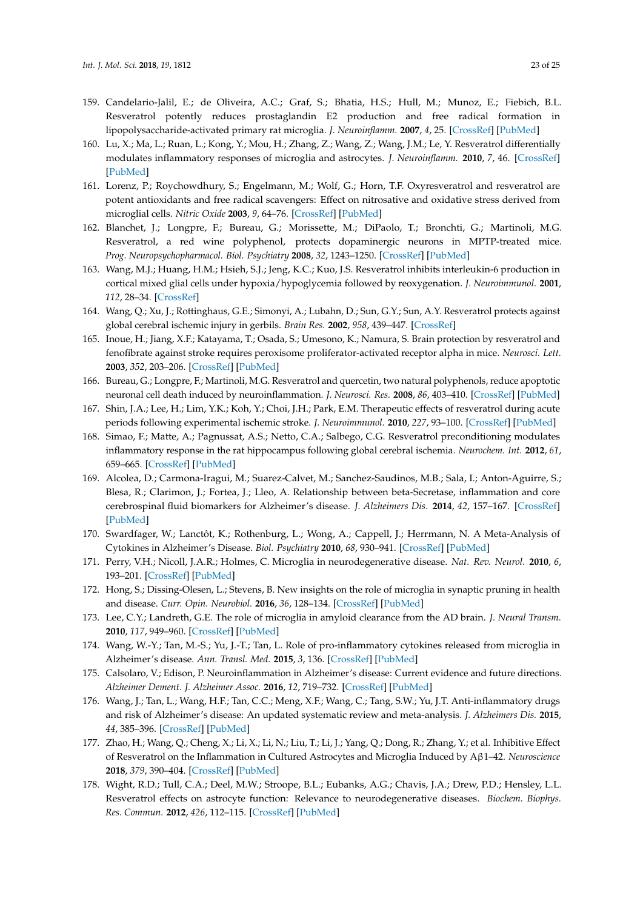- <span id="page-22-0"></span>159. Candelario-Jalil, E.; de Oliveira, A.C.; Graf, S.; Bhatia, H.S.; Hull, M.; Munoz, E.; Fiebich, B.L. Resveratrol potently reduces prostaglandin E2 production and free radical formation in lipopolysaccharide-activated primary rat microglia. *J. Neuroinflamm.* **2007**, *4*, 25. [\[CrossRef\]](http://dx.doi.org/10.1186/1742-2094-4-25) [\[PubMed\]](http://www.ncbi.nlm.nih.gov/pubmed/17927823)
- <span id="page-22-1"></span>160. Lu, X.; Ma, L.; Ruan, L.; Kong, Y.; Mou, H.; Zhang, Z.; Wang, Z.; Wang, J.M.; Le, Y. Resveratrol differentially modulates inflammatory responses of microglia and astrocytes. *J. Neuroinflamm.* **2010**, *7*, 46. [\[CrossRef\]](http://dx.doi.org/10.1186/1742-2094-7-46) [\[PubMed\]](http://www.ncbi.nlm.nih.gov/pubmed/20712904)
- <span id="page-22-2"></span>161. Lorenz, P.; Roychowdhury, S.; Engelmann, M.; Wolf, G.; Horn, T.F. Oxyresveratrol and resveratrol are potent antioxidants and free radical scavengers: Effect on nitrosative and oxidative stress derived from microglial cells. *Nitric Oxide* **2003**, *9*, 64–76. [\[CrossRef\]](http://dx.doi.org/10.1016/j.niox.2003.09.005) [\[PubMed\]](http://www.ncbi.nlm.nih.gov/pubmed/14623172)
- <span id="page-22-3"></span>162. Blanchet, J.; Longpre, F.; Bureau, G.; Morissette, M.; DiPaolo, T.; Bronchti, G.; Martinoli, M.G. Resveratrol, a red wine polyphenol, protects dopaminergic neurons in MPTP-treated mice. *Prog. Neuropsychopharmacol. Biol. Psychiatry* **2008**, *32*, 1243–1250. [\[CrossRef\]](http://dx.doi.org/10.1016/j.pnpbp.2008.03.024) [\[PubMed\]](http://www.ncbi.nlm.nih.gov/pubmed/18471948)
- <span id="page-22-4"></span>163. Wang, M.J.; Huang, H.M.; Hsieh, S.J.; Jeng, K.C.; Kuo, J.S. Resveratrol inhibits interleukin-6 production in cortical mixed glial cells under hypoxia/hypoglycemia followed by reoxygenation. *J. Neuroimmunol.* **2001**, *112*, 28–34. [\[CrossRef\]](http://dx.doi.org/10.1016/S0165-5728(00)00374-X)
- <span id="page-22-5"></span>164. Wang, Q.; Xu, J.; Rottinghaus, G.E.; Simonyi, A.; Lubahn, D.; Sun, G.Y.; Sun, A.Y. Resveratrol protects against global cerebral ischemic injury in gerbils. *Brain Res.* **2002**, *958*, 439–447. [\[CrossRef\]](http://dx.doi.org/10.1016/S0006-8993(02)03543-6)
- 165. Inoue, H.; Jiang, X.F.; Katayama, T.; Osada, S.; Umesono, K.; Namura, S. Brain protection by resveratrol and fenofibrate against stroke requires peroxisome proliferator-activated receptor alpha in mice. *Neurosci. Lett.* **2003**, *352*, 203–206. [\[CrossRef\]](http://dx.doi.org/10.1016/j.neulet.2003.09.001) [\[PubMed\]](http://www.ncbi.nlm.nih.gov/pubmed/14625020)
- 166. Bureau, G.; Longpre, F.; Martinoli, M.G. Resveratrol and quercetin, two natural polyphenols, reduce apoptotic neuronal cell death induced by neuroinflammation. *J. Neurosci. Res.* **2008**, *86*, 403–410. [\[CrossRef\]](http://dx.doi.org/10.1002/jnr.21503) [\[PubMed\]](http://www.ncbi.nlm.nih.gov/pubmed/17929310)
- 167. Shin, J.A.; Lee, H.; Lim, Y.K.; Koh, Y.; Choi, J.H.; Park, E.M. Therapeutic effects of resveratrol during acute periods following experimental ischemic stroke. *J. Neuroimmunol.* **2010**, *227*, 93–100. [\[CrossRef\]](http://dx.doi.org/10.1016/j.jneuroim.2010.06.017) [\[PubMed\]](http://www.ncbi.nlm.nih.gov/pubmed/20655115)
- <span id="page-22-6"></span>168. Simao, F.; Matte, A.; Pagnussat, A.S.; Netto, C.A.; Salbego, C.G. Resveratrol preconditioning modulates inflammatory response in the rat hippocampus following global cerebral ischemia. *Neurochem. Int.* **2012**, *61*, 659–665. [\[CrossRef\]](http://dx.doi.org/10.1016/j.neuint.2012.06.009) [\[PubMed\]](http://www.ncbi.nlm.nih.gov/pubmed/22709670)
- <span id="page-22-7"></span>169. Alcolea, D.; Carmona-Iragui, M.; Suarez-Calvet, M.; Sanchez-Saudinos, M.B.; Sala, I.; Anton-Aguirre, S.; Blesa, R.; Clarimon, J.; Fortea, J.; Lleo, A. Relationship between beta-Secretase, inflammation and core cerebrospinal fluid biomarkers for Alzheimer's disease. *J. Alzheimers Dis.* **2014**, *42*, 157–167. [\[CrossRef\]](http://dx.doi.org/10.3233/JAD-140240) [\[PubMed\]](http://www.ncbi.nlm.nih.gov/pubmed/24820015)
- 170. Swardfager, W.; Lanctôt, K.; Rothenburg, L.; Wong, A.; Cappell, J.; Herrmann, N. A Meta-Analysis of Cytokines in Alzheimer's Disease. *Biol. Psychiatry* **2010**, *68*, 930–941. [\[CrossRef\]](http://dx.doi.org/10.1016/j.biopsych.2010.06.012) [\[PubMed\]](http://www.ncbi.nlm.nih.gov/pubmed/20692646)
- <span id="page-22-8"></span>171. Perry, V.H.; Nicoll, J.A.R.; Holmes, C. Microglia in neurodegenerative disease. *Nat. Rev. Neurol.* **2010**, *6*, 193–201. [\[CrossRef\]](http://dx.doi.org/10.1038/nrneurol.2010.17) [\[PubMed\]](http://www.ncbi.nlm.nih.gov/pubmed/20234358)
- <span id="page-22-9"></span>172. Hong, S.; Dissing-Olesen, L.; Stevens, B. New insights on the role of microglia in synaptic pruning in health and disease. *Curr. Opin. Neurobiol.* **2016**, *36*, 128–134. [\[CrossRef\]](http://dx.doi.org/10.1016/j.conb.2015.12.004) [\[PubMed\]](http://www.ncbi.nlm.nih.gov/pubmed/26745839)
- <span id="page-22-10"></span>173. Lee, C.Y.; Landreth, G.E. The role of microglia in amyloid clearance from the AD brain. *J. Neural Transm.* **2010**, *117*, 949–960. [\[CrossRef\]](http://dx.doi.org/10.1007/s00702-010-0433-4) [\[PubMed\]](http://www.ncbi.nlm.nih.gov/pubmed/20552234)
- <span id="page-22-11"></span>174. Wang, W.-Y.; Tan, M.-S.; Yu, J.-T.; Tan, L. Role of pro-inflammatory cytokines released from microglia in Alzheimer's disease. *Ann. Transl. Med.* **2015**, *3*, 136. [\[CrossRef\]](http://dx.doi.org/10.3978/j.issn.2305-5839.2015.03.49) [\[PubMed\]](http://www.ncbi.nlm.nih.gov/pubmed/26207229)
- <span id="page-22-12"></span>175. Calsolaro, V.; Edison, P. Neuroinflammation in Alzheimer's disease: Current evidence and future directions. *Alzheimer Dement. J. Alzheimer Assoc.* **2016**, *12*, 719–732. [\[CrossRef\]](http://dx.doi.org/10.1016/j.jalz.2016.02.010) [\[PubMed\]](http://www.ncbi.nlm.nih.gov/pubmed/27179961)
- <span id="page-22-13"></span>176. Wang, J.; Tan, L.; Wang, H.F.; Tan, C.C.; Meng, X.F.; Wang, C.; Tang, S.W.; Yu, J.T. Anti-inflammatory drugs and risk of Alzheimer's disease: An updated systematic review and meta-analysis. *J. Alzheimers Dis.* **2015**, *44*, 385–396. [\[CrossRef\]](http://dx.doi.org/10.3233/JAD-141506) [\[PubMed\]](http://www.ncbi.nlm.nih.gov/pubmed/25227314)
- <span id="page-22-14"></span>177. Zhao, H.; Wang, Q.; Cheng, X.; Li, X.; Li, N.; Liu, T.; Li, J.; Yang, Q.; Dong, R.; Zhang, Y.; et al. Inhibitive Effect of Resveratrol on the Inflammation in Cultured Astrocytes and Microglia Induced by Aβ1–42. *Neuroscience* **2018**, *379*, 390–404. [\[CrossRef\]](http://dx.doi.org/10.1016/j.neuroscience.2018.03.047) [\[PubMed\]](http://www.ncbi.nlm.nih.gov/pubmed/29627302)
- <span id="page-22-15"></span>178. Wight, R.D.; Tull, C.A.; Deel, M.W.; Stroope, B.L.; Eubanks, A.G.; Chavis, J.A.; Drew, P.D.; Hensley, L.L. Resveratrol effects on astrocyte function: Relevance to neurodegenerative diseases. *Biochem. Biophys. Res. Commun.* **2012**, *426*, 112–115. [\[CrossRef\]](http://dx.doi.org/10.1016/j.bbrc.2012.08.045) [\[PubMed\]](http://www.ncbi.nlm.nih.gov/pubmed/22917537)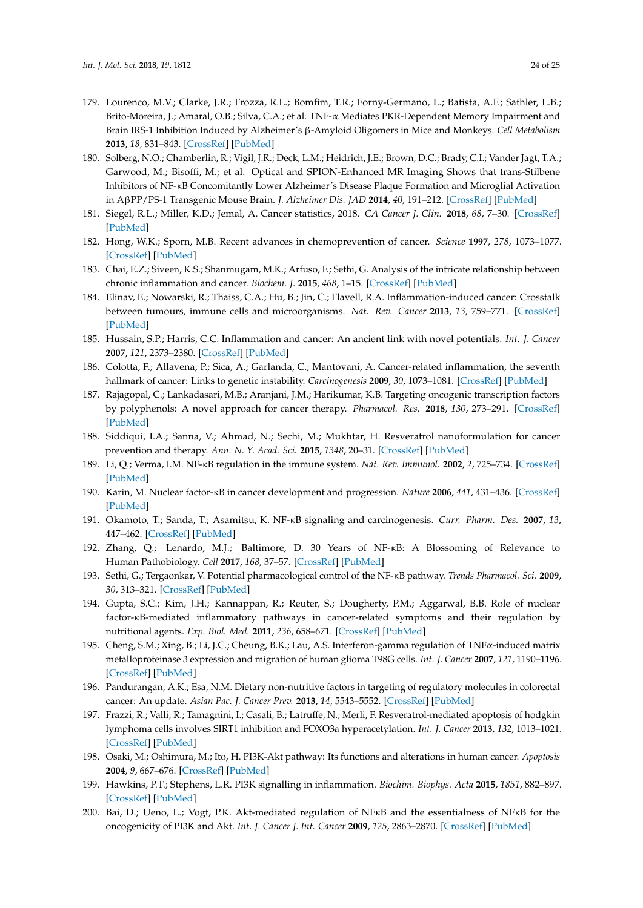- <span id="page-23-0"></span>179. Lourenco, M.V.; Clarke, J.R.; Frozza, R.L.; Bomfim, T.R.; Forny-Germano, L.; Batista, A.F.; Sathler, L.B.; Brito-Moreira, J.; Amaral, O.B.; Silva, C.A.; et al. TNF-α Mediates PKR-Dependent Memory Impairment and Brain IRS-1 Inhibition Induced by Alzheimer's β-Amyloid Oligomers in Mice and Monkeys. *Cell Metabolism* **2013**, *18*, 831–843. [\[CrossRef\]](http://dx.doi.org/10.1016/j.cmet.2013.11.002) [\[PubMed\]](http://www.ncbi.nlm.nih.gov/pubmed/24315369)
- <span id="page-23-1"></span>180. Solberg, N.O.; Chamberlin, R.; Vigil, J.R.; Deck, L.M.; Heidrich, J.E.; Brown, D.C.; Brady, C.I.; Vander Jagt, T.A.; Garwood, M.; Bisoffi, M.; et al. Optical and SPION-Enhanced MR Imaging Shows that trans-Stilbene Inhibitors of NF-κB Concomitantly Lower Alzheimer's Disease Plaque Formation and Microglial Activation in AβPP/PS-1 Transgenic Mouse Brain. *J. Alzheimer Dis. JAD* **2014**, *40*, 191–212. [\[CrossRef\]](http://dx.doi.org/10.3233/JAD-131031) [\[PubMed\]](http://www.ncbi.nlm.nih.gov/pubmed/24413613)
- <span id="page-23-2"></span>181. Siegel, R.L.; Miller, K.D.; Jemal, A. Cancer statistics, 2018. *CA Cancer J. Clin.* **2018**, *68*, 7–30. [\[CrossRef\]](http://dx.doi.org/10.3322/caac.21442) [\[PubMed\]](http://www.ncbi.nlm.nih.gov/pubmed/29313949)
- <span id="page-23-3"></span>182. Hong, W.K.; Sporn, M.B. Recent advances in chemoprevention of cancer. *Science* **1997**, *278*, 1073–1077. [\[CrossRef\]](http://dx.doi.org/10.1126/science.278.5340.1073) [\[PubMed\]](http://www.ncbi.nlm.nih.gov/pubmed/9353183)
- <span id="page-23-4"></span>183. Chai, E.Z.; Siveen, K.S.; Shanmugam, M.K.; Arfuso, F.; Sethi, G. Analysis of the intricate relationship between chronic inflammation and cancer. *Biochem. J.* **2015**, *468*, 1–15. [\[CrossRef\]](http://dx.doi.org/10.1042/BJ20141337) [\[PubMed\]](http://www.ncbi.nlm.nih.gov/pubmed/25940732)
- <span id="page-23-5"></span>184. Elinav, E.; Nowarski, R.; Thaiss, C.A.; Hu, B.; Jin, C.; Flavell, R.A. Inflammation-induced cancer: Crosstalk between tumours, immune cells and microorganisms. *Nat. Rev. Cancer* **2013**, *13*, 759–771. [\[CrossRef\]](http://dx.doi.org/10.1038/nrc3611) [\[PubMed\]](http://www.ncbi.nlm.nih.gov/pubmed/24154716)
- <span id="page-23-6"></span>185. Hussain, S.P.; Harris, C.C. Inflammation and cancer: An ancient link with novel potentials. *Int. J. Cancer* **2007**, *121*, 2373–2380. [\[CrossRef\]](http://dx.doi.org/10.1002/ijc.23173) [\[PubMed\]](http://www.ncbi.nlm.nih.gov/pubmed/17893866)
- <span id="page-23-7"></span>186. Colotta, F.; Allavena, P.; Sica, A.; Garlanda, C.; Mantovani, A. Cancer-related inflammation, the seventh hallmark of cancer: Links to genetic instability. *Carcinogenesis* **2009**, *30*, 1073–1081. [\[CrossRef\]](http://dx.doi.org/10.1093/carcin/bgp127) [\[PubMed\]](http://www.ncbi.nlm.nih.gov/pubmed/19468060)
- <span id="page-23-8"></span>187. Rajagopal, C.; Lankadasari, M.B.; Aranjani, J.M.; Harikumar, K.B. Targeting oncogenic transcription factors by polyphenols: A novel approach for cancer therapy. *Pharmacol. Res.* **2018**, *130*, 273–291. [\[CrossRef\]](http://dx.doi.org/10.1016/j.phrs.2017.12.034) [\[PubMed\]](http://www.ncbi.nlm.nih.gov/pubmed/29305909)
- <span id="page-23-9"></span>188. Siddiqui, I.A.; Sanna, V.; Ahmad, N.; Sechi, M.; Mukhtar, H. Resveratrol nanoformulation for cancer prevention and therapy. *Ann. N. Y. Acad. Sci.* **2015**, *1348*, 20–31. [\[CrossRef\]](http://dx.doi.org/10.1111/nyas.12811) [\[PubMed\]](http://www.ncbi.nlm.nih.gov/pubmed/26109073)
- <span id="page-23-10"></span>189. Li, Q.; Verma, I.M. NF-κB regulation in the immune system. *Nat. Rev. Immunol.* **2002**, *2*, 725–734. [\[CrossRef\]](http://dx.doi.org/10.1038/nri910) [\[PubMed\]](http://www.ncbi.nlm.nih.gov/pubmed/12360211)
- <span id="page-23-11"></span>190. Karin, M. Nuclear factor-κB in cancer development and progression. *Nature* **2006**, *441*, 431–436. [\[CrossRef\]](http://dx.doi.org/10.1038/nature04870) [\[PubMed\]](http://www.ncbi.nlm.nih.gov/pubmed/16724054)
- <span id="page-23-12"></span>191. Okamoto, T.; Sanda, T.; Asamitsu, K. NF-κB signaling and carcinogenesis. *Curr. Pharm. Des.* **2007**, *13*, 447–462. [\[CrossRef\]](http://dx.doi.org/10.2174/138161207780162944) [\[PubMed\]](http://www.ncbi.nlm.nih.gov/pubmed/17348842)
- <span id="page-23-13"></span>192. Zhang, Q.; Lenardo, M.J.; Baltimore, D. 30 Years of NF-κB: A Blossoming of Relevance to Human Pathobiology. *Cell* **2017**, *168*, 37–57. [\[CrossRef\]](http://dx.doi.org/10.1016/j.cell.2016.12.012) [\[PubMed\]](http://www.ncbi.nlm.nih.gov/pubmed/28086098)
- <span id="page-23-14"></span>193. Sethi, G.; Tergaonkar, V. Potential pharmacological control of the NF-κB pathway. *Trends Pharmacol. Sci.* **2009**, *30*, 313–321. [\[CrossRef\]](http://dx.doi.org/10.1016/j.tips.2009.03.004) [\[PubMed\]](http://www.ncbi.nlm.nih.gov/pubmed/19446347)
- <span id="page-23-15"></span>194. Gupta, S.C.; Kim, J.H.; Kannappan, R.; Reuter, S.; Dougherty, P.M.; Aggarwal, B.B. Role of nuclear factor-κB-mediated inflammatory pathways in cancer-related symptoms and their regulation by nutritional agents. *Exp. Biol. Med.* **2011**, *236*, 658–671. [\[CrossRef\]](http://dx.doi.org/10.1258/ebm.2011.011028) [\[PubMed\]](http://www.ncbi.nlm.nih.gov/pubmed/21565893)
- <span id="page-23-16"></span>195. Cheng, S.M.; Xing, B.; Li, J.C.; Cheung, B.K.; Lau, A.S. Interferon-gamma regulation of TNFα-induced matrix metalloproteinase 3 expression and migration of human glioma T98G cells. *Int. J. Cancer* **2007**, *121*, 1190–1196. [\[CrossRef\]](http://dx.doi.org/10.1002/ijc.22729) [\[PubMed\]](http://www.ncbi.nlm.nih.gov/pubmed/17520672)
- <span id="page-23-17"></span>196. Pandurangan, A.K.; Esa, N.M. Dietary non-nutritive factors in targeting of regulatory molecules in colorectal cancer: An update. *Asian Pac. J. Cancer Prev.* **2013**, *14*, 5543–5552. [\[CrossRef\]](http://dx.doi.org/10.7314/APJCP.2013.14.10.5543) [\[PubMed\]](http://www.ncbi.nlm.nih.gov/pubmed/24289544)
- <span id="page-23-18"></span>197. Frazzi, R.; Valli, R.; Tamagnini, I.; Casali, B.; Latruffe, N.; Merli, F. Resveratrol-mediated apoptosis of hodgkin lymphoma cells involves SIRT1 inhibition and FOXO3a hyperacetylation. *Int. J. Cancer* **2013**, *132*, 1013–1021. [\[CrossRef\]](http://dx.doi.org/10.1002/ijc.27748) [\[PubMed\]](http://www.ncbi.nlm.nih.gov/pubmed/22833338)
- <span id="page-23-19"></span>198. Osaki, M.; Oshimura, M.; Ito, H. PI3K-Akt pathway: Its functions and alterations in human cancer. *Apoptosis* **2004**, *9*, 667–676. [\[CrossRef\]](http://dx.doi.org/10.1023/B:APPT.0000045801.15585.dd) [\[PubMed\]](http://www.ncbi.nlm.nih.gov/pubmed/15505410)
- <span id="page-23-20"></span>199. Hawkins, P.T.; Stephens, L.R. PI3K signalling in inflammation. *Biochim. Biophys. Acta* **2015**, *1851*, 882–897. [\[CrossRef\]](http://dx.doi.org/10.1016/j.bbalip.2014.12.006) [\[PubMed\]](http://www.ncbi.nlm.nih.gov/pubmed/25514767)
- <span id="page-23-21"></span>200. Bai, D.; Ueno, L.; Vogt, P.K. Akt-mediated regulation of NFκB and the essentialness of NFκB for the oncogenicity of PI3K and Akt. *Int. J. Cancer J. Int. Cancer* **2009**, *125*, 2863–2870. [\[CrossRef\]](http://dx.doi.org/10.1002/ijc.24748) [\[PubMed\]](http://www.ncbi.nlm.nih.gov/pubmed/19609947)